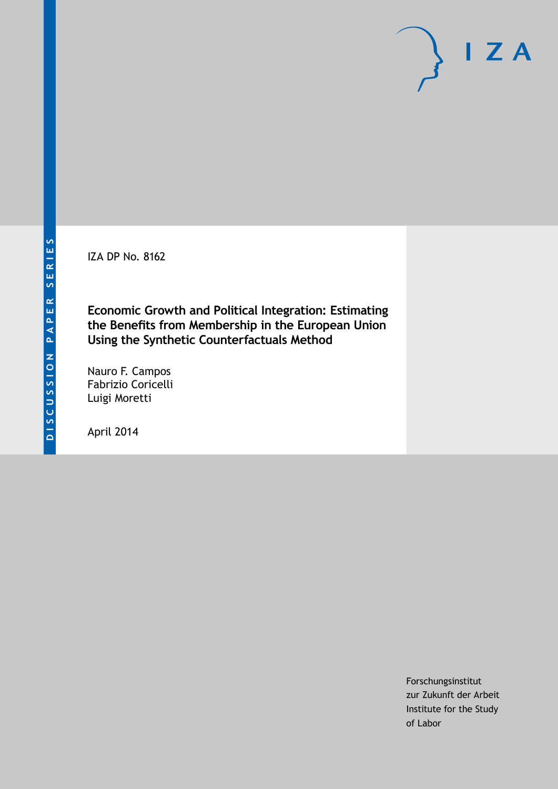IZA DP No. 8162

**Economic Growth and Political Integration: Estimating the Benefits from Membership in the European Union Using the Synthetic Counterfactuals Method**

Nauro F. Campos Fabrizio Coricelli Luigi Moretti

April 2014

Forschungsinstitut zur Zukunft der Arbeit Institute for the Study of Labor

 $I Z A$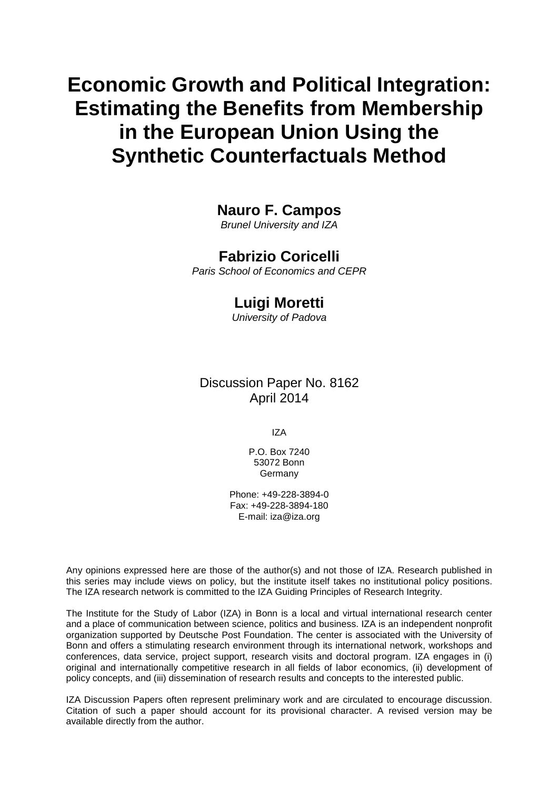# **Economic Growth and Political Integration: Estimating the Benefits from Membership in the European Union Using the Synthetic Counterfactuals Method**

## **Nauro F. Campos**

*Brunel University and IZA*

## **Fabrizio Coricelli**

*Paris School of Economics and CEPR*

### **Luigi Moretti**

*University of Padova*

## Discussion Paper No. 8162 April 2014

IZA

P.O. Box 7240 53072 Bonn Germany

Phone: +49-228-3894-0 Fax: +49-228-3894-180 E-mail: [iza@iza.org](mailto:iza@iza.org)

Any opinions expressed here are those of the author(s) and not those of IZA. Research published in this series may include views on policy, but the institute itself takes no institutional policy positions. The IZA research network is committed to the IZA Guiding Principles of Research Integrity.

The Institute for the Study of Labor (IZA) in Bonn is a local and virtual international research center and a place of communication between science, politics and business. IZA is an independent nonprofit organization supported by Deutsche Post Foundation. The center is associated with the University of Bonn and offers a stimulating research environment through its international network, workshops and conferences, data service, project support, research visits and doctoral program. IZA engages in (i) original and internationally competitive research in all fields of labor economics, (ii) development of policy concepts, and (iii) dissemination of research results and concepts to the interested public.

<span id="page-1-0"></span>IZA Discussion Papers often represent preliminary work and are circulated to encourage discussion. Citation of such a paper should account for its provisional character. A revised version may be available directly from the author.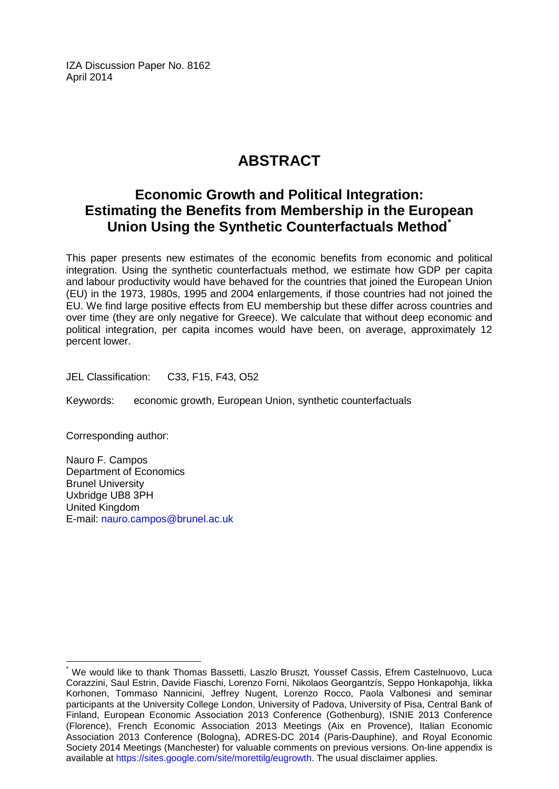IZA Discussion Paper No. 8162 April 2014

## **ABSTRACT**

## **Economic Growth and Political Integration: Estimating the Benefits from Membership in the European Union Using the Synthetic Counterfactuals Method[\\*](#page-1-0)**

This paper presents new estimates of the economic benefits from economic and political integration. Using the synthetic counterfactuals method, we estimate how GDP per capita and labour productivity would have behaved for the countries that joined the European Union (EU) in the 1973, 1980s, 1995 and 2004 enlargements, if those countries had not joined the EU. We find large positive effects from EU membership but these differ across countries and over time (they are only negative for Greece). We calculate that without deep economic and political integration, per capita incomes would have been, on average, approximately 12 percent lower.

JEL Classification: C33, F15, F43, O52

Keywords: economic growth, European Union, synthetic counterfactuals

Corresponding author:

Nauro F. Campos Department of Economics Brunel University Uxbridge UB8 3PH United Kingdom E-mail: [nauro.campos@brunel.ac.uk](mailto:nauro.campos@brunel.ac.uk)

We would like to thank Thomas Bassetti, Laszlo Bruszt, Youssef Cassis, Efrem Castelnuovo, Luca Corazzini, Saul Estrin, Davide Fiaschi, Lorenzo Forni, Nikolaos Georgantzís, Seppo Honkapohja, Iikka Korhonen, Tommaso Nannicini, Jeffrey Nugent, Lorenzo Rocco, Paola Valbonesi and seminar participants at the University College London, University of Padova, University of Pisa, Central Bank of Finland, European Economic Association 2013 Conference (Gothenburg), ISNIE 2013 Conference (Florence), French Economic Association 2013 Meetings (Aix en Provence), Italian Economic Association 2013 Conference (Bologna), ADRES-DC 2014 (Paris-Dauphine), and Royal Economic Society 2014 Meetings (Manchester) for valuable comments on previous versions. On-line appendix is available at [https://sites.google.com/site/morettilg/eugrowth.](https://sites.google.com/site/morettilg/eugrowth) The usual disclaimer applies.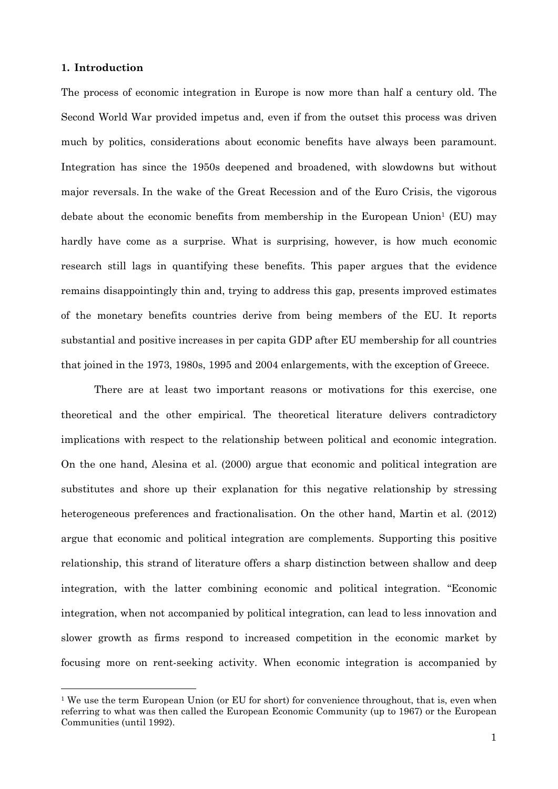#### **1. Introduction**

l

The process of economic integration in Europe is now more than half a century old. The Second World War provided impetus and, even if from the outset this process was driven much by politics, considerations about economic benefits have always been paramount. Integration has since the 1950s deepened and broadened, with slowdowns but without major reversals. In the wake of the Great Recession and of the Euro Crisis, the vigorous debate about the economic benefits from membership in the European Union<sup>1</sup> (EU) may hardly have come as a surprise. What is surprising, however, is how much economic research still lags in quantifying these benefits. This paper argues that the evidence remains disappointingly thin and, trying to address this gap, presents improved estimates of the monetary benefits countries derive from being members of the EU. It reports substantial and positive increases in per capita GDP after EU membership for all countries that joined in the 1973, 1980s, 1995 and 2004 enlargements, with the exception of Greece.

There are at least two important reasons or motivations for this exercise, one theoretical and the other empirical. The theoretical literature delivers contradictory implications with respect to the relationship between political and economic integration. On the one hand, Alesina et al. (2000) argue that economic and political integration are substitutes and shore up their explanation for this negative relationship by stressing heterogeneous preferences and fractionalisation. On the other hand, Martin et al. (2012) argue that economic and political integration are complements. Supporting this positive relationship, this strand of literature offers a sharp distinction between shallow and deep integration, with the latter combining economic and political integration. "Economic integration, when not accompanied by political integration, can lead to less innovation and slower growth as firms respond to increased competition in the economic market by focusing more on rent-seeking activity. When economic integration is accompanied by

<sup>&</sup>lt;sup>1</sup> We use the term European Union (or EU for short) for convenience throughout, that is, even when referring to what was then called the European Economic Community (up to 1967) or the European Communities (until 1992).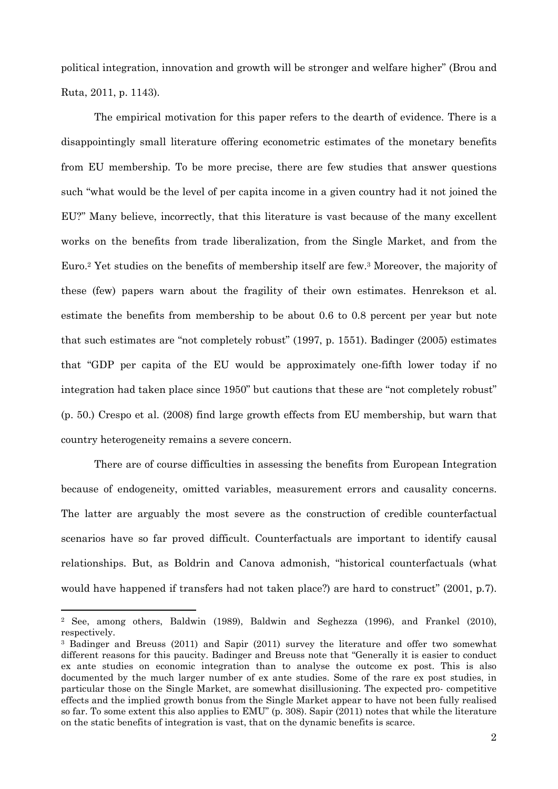political integration, innovation and growth will be stronger and welfare higher" (Brou and Ruta, 2011, p. 1143).

The empirical motivation for this paper refers to the dearth of evidence. There is a disappointingly small literature offering econometric estimates of the monetary benefits from EU membership. To be more precise, there are few studies that answer questions such "what would be the level of per capita income in a given country had it not joined the EU?" Many believe, incorrectly, that this literature is vast because of the many excellent works on the benefits from trade liberalization, from the Single Market, and from the Euro.<sup>2</sup> Yet studies on the benefits of membership itself are few.<sup>3</sup> Moreover, the majority of these (few) papers warn about the fragility of their own estimates. Henrekson et al. estimate the benefits from membership to be about 0.6 to 0.8 percent per year but note that such estimates are "not completely robust" (1997, p. 1551). Badinger (2005) estimates that "GDP per capita of the EU would be approximately one-fifth lower today if no integration had taken place since 1950" but cautions that these are "not completely robust" (p. 50.) Crespo et al. (2008) find large growth effects from EU membership, but warn that country heterogeneity remains a severe concern.

There are of course difficulties in assessing the benefits from European Integration because of endogeneity, omitted variables, measurement errors and causality concerns. The latter are arguably the most severe as the construction of credible counterfactual scenarios have so far proved difficult. Counterfactuals are important to identify causal relationships. But, as Boldrin and Canova admonish, "historical counterfactuals (what would have happened if transfers had not taken place?) are hard to construct" (2001, p.7).

<sup>2</sup> See, among others, Baldwin (1989), Baldwin and Seghezza (1996), and Frankel (2010), respectively.

<sup>3</sup> Badinger and Breuss (2011) and Sapir (2011) survey the literature and offer two somewhat different reasons for this paucity. Badinger and Breuss note that "Generally it is easier to conduct ex ante studies on economic integration than to analyse the outcome ex post. This is also documented by the much larger number of ex ante studies. Some of the rare ex post studies, in particular those on the Single Market, are somewhat disillusioning. The expected pro- competitive effects and the implied growth bonus from the Single Market appear to have not been fully realised so far. To some extent this also applies to EMU" (p. 308). Sapir (2011) notes that while the literature on the static benefits of integration is vast, that on the dynamic benefits is scarce.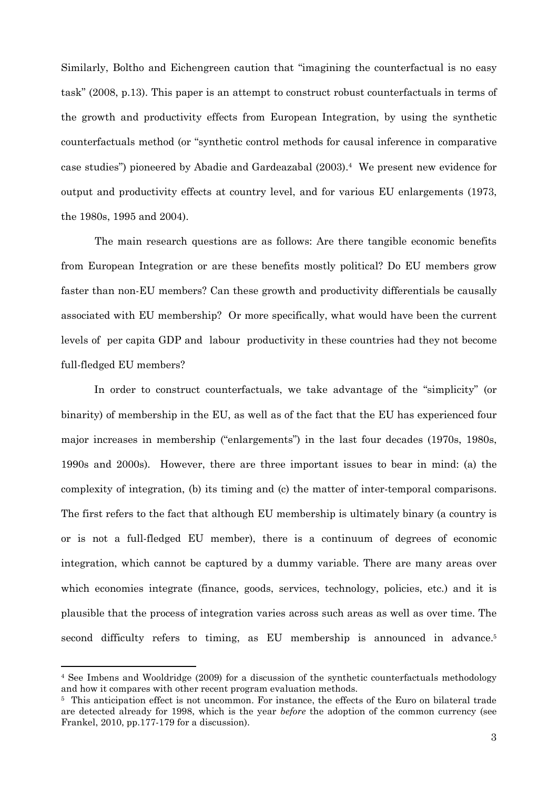Similarly, Boltho and Eichengreen caution that "imagining the counterfactual is no easy task" (2008, p.13). This paper is an attempt to construct robust counterfactuals in terms of the growth and productivity effects from European Integration, by using the synthetic counterfactuals method (or "synthetic control methods for causal inference in comparative case studies") pioneered by Abadie and Gardeazabal (2003).<sup>4</sup> We present new evidence for output and productivity effects at country level, and for various EU enlargements (1973, the 1980s, 1995 and 2004).

The main research questions are as follows: Are there tangible economic benefits from European Integration or are these benefits mostly political? Do EU members grow faster than non-EU members? Can these growth and productivity differentials be causally associated with EU membership? Or more specifically, what would have been the current levels of per capita GDP and labour productivity in these countries had they not become full-fledged EU members?

In order to construct counterfactuals, we take advantage of the "simplicity" (or binarity) of membership in the EU, as well as of the fact that the EU has experienced four major increases in membership ("enlargements") in the last four decades (1970s, 1980s, 1990s and 2000s). However, there are three important issues to bear in mind: (a) the complexity of integration, (b) its timing and (c) the matter of inter-temporal comparisons. The first refers to the fact that although EU membership is ultimately binary (a country is or is not a full-fledged EU member), there is a continuum of degrees of economic integration, which cannot be captured by a dummy variable. There are many areas over which economies integrate (finance, goods, services, technology, policies, etc.) and it is plausible that the process of integration varies across such areas as well as over time. The second difficulty refers to timing, as EU membership is announced in advance.<sup>5</sup>

<sup>4</sup> See Imbens and Wooldridge (2009) for a discussion of the synthetic counterfactuals methodology and how it compares with other recent program evaluation methods.

<sup>5</sup> This anticipation effect is not uncommon. For instance, the effects of the Euro on bilateral trade are detected already for 1998, which is the year *before* the adoption of the common currency (see Frankel, 2010, pp.177-179 for a discussion).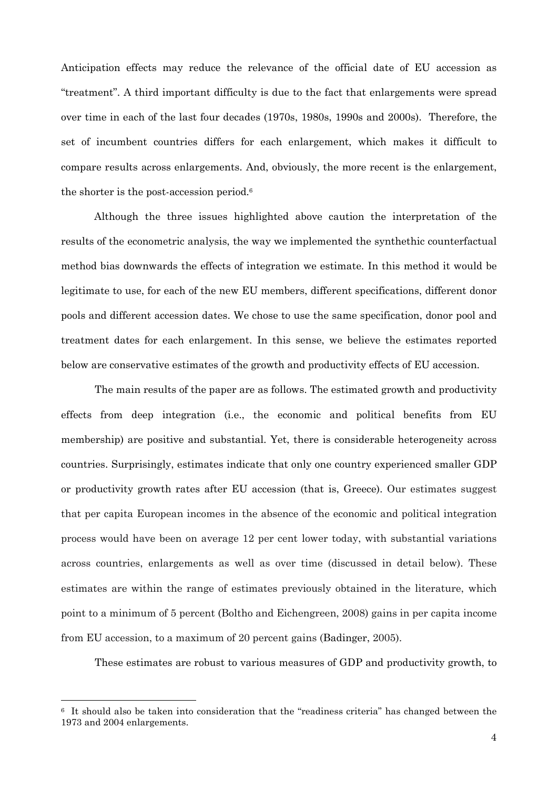Anticipation effects may reduce the relevance of the official date of EU accession as "treatment". A third important difficulty is due to the fact that enlargements were spread over time in each of the last four decades (1970s, 1980s, 1990s and 2000s). Therefore, the set of incumbent countries differs for each enlargement, which makes it difficult to compare results across enlargements. And, obviously, the more recent is the enlargement, the shorter is the post-accession period.<sup>6</sup>

Although the three issues highlighted above caution the interpretation of the results of the econometric analysis, the way we implemented the synthethic counterfactual method bias downwards the effects of integration we estimate. In this method it would be legitimate to use, for each of the new EU members, different specifications, different donor pools and different accession dates. We chose to use the same specification, donor pool and treatment dates for each enlargement. In this sense, we believe the estimates reported below are conservative estimates of the growth and productivity effects of EU accession.

The main results of the paper are as follows. The estimated growth and productivity effects from deep integration (i.e., the economic and political benefits from EU membership) are positive and substantial. Yet, there is considerable heterogeneity across countries. Surprisingly, estimates indicate that only one country experienced smaller GDP or productivity growth rates after EU accession (that is, Greece). Our estimates suggest that per capita European incomes in the absence of the economic and political integration process would have been on average 12 per cent lower today, with substantial variations across countries, enlargements as well as over time (discussed in detail below). These estimates are within the range of estimates previously obtained in the literature, which point to a minimum of 5 percent (Boltho and Eichengreen, 2008) gains in per capita income from EU accession, to a maximum of 20 percent gains (Badinger, 2005).

These estimates are robust to various measures of GDP and productivity growth, to

<sup>6</sup> It should also be taken into consideration that the "readiness criteria" has changed between the 1973 and 2004 enlargements.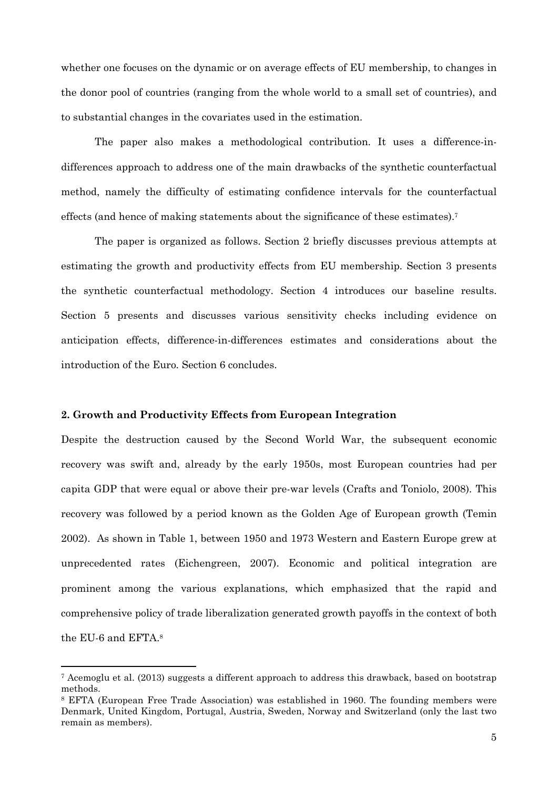whether one focuses on the dynamic or on average effects of EU membership, to changes in the donor pool of countries (ranging from the whole world to a small set of countries), and to substantial changes in the covariates used in the estimation.

The paper also makes a methodological contribution. It uses a difference-indifferences approach to address one of the main drawbacks of the synthetic counterfactual method, namely the difficulty of estimating confidence intervals for the counterfactual effects (and hence of making statements about the significance of these estimates).<sup>7</sup>

The paper is organized as follows. Section 2 briefly discusses previous attempts at estimating the growth and productivity effects from EU membership. Section 3 presents the synthetic counterfactual methodology. Section 4 introduces our baseline results. Section 5 presents and discusses various sensitivity checks including evidence on anticipation effects, difference-in-differences estimates and considerations about the introduction of the Euro. Section 6 concludes.

#### **2. Growth and Productivity Effects from European Integration**

l

Despite the destruction caused by the Second World War, the subsequent economic recovery was swift and, already by the early 1950s, most European countries had per capita GDP that were equal or above their pre-war levels (Crafts and Toniolo, 2008). This recovery was followed by a period known as the Golden Age of European growth (Temin 2002). As shown in Table 1, between 1950 and 1973 Western and Eastern Europe grew at unprecedented rates (Eichengreen, 2007). Economic and political integration are prominent among the various explanations, which emphasized that the rapid and comprehensive policy of trade liberalization generated growth payoffs in the context of both the EU-6 and EFTA.<sup>8</sup>

<sup>7</sup> Acemoglu et al. (2013) suggests a different approach to address this drawback, based on bootstrap methods.

<sup>8</sup> EFTA (European Free Trade Association) was established in 1960. The founding members were Denmark, United Kingdom, Portugal, Austria, Sweden, Norway and Switzerland (only the last two remain as members).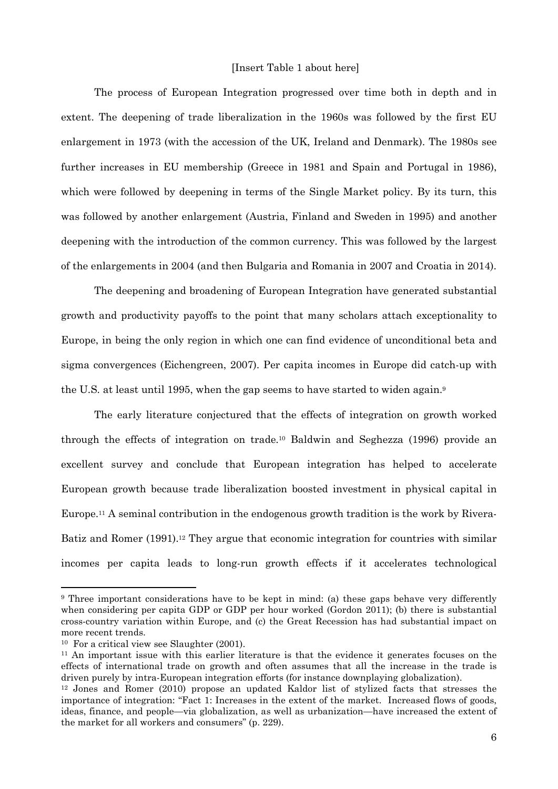#### [Insert Table 1 about here]

The process of European Integration progressed over time both in depth and in extent. The deepening of trade liberalization in the 1960s was followed by the first EU enlargement in 1973 (with the accession of the UK, Ireland and Denmark). The 1980s see further increases in EU membership (Greece in 1981 and Spain and Portugal in 1986), which were followed by deepening in terms of the Single Market policy. By its turn, this was followed by another enlargement (Austria, Finland and Sweden in 1995) and another deepening with the introduction of the common currency. This was followed by the largest of the enlargements in 2004 (and then Bulgaria and Romania in 2007 and Croatia in 2014).

The deepening and broadening of European Integration have generated substantial growth and productivity payoffs to the point that many scholars attach exceptionality to Europe, in being the only region in which one can find evidence of unconditional beta and sigma convergences (Eichengreen, 2007). Per capita incomes in Europe did catch-up with the U.S. at least until 1995, when the gap seems to have started to widen again.<sup>9</sup>

The early literature conjectured that the effects of integration on growth worked through the effects of integration on trade.10 Baldwin and Seghezza (1996) provide an excellent survey and conclude that European integration has helped to accelerate European growth because trade liberalization boosted investment in physical capital in Europe.11 A seminal contribution in the endogenous growth tradition is the work by Rivera-Batiz and Romer (1991).<sup>12</sup> They argue that economic integration for countries with similar incomes per capita leads to long-run growth effects if it accelerates technological

<sup>&</sup>lt;sup>9</sup> Three important considerations have to be kept in mind: (a) these gaps behave very differently when considering per capita GDP or GDP per hour worked (Gordon 2011); (b) there is substantial cross-country variation within Europe, and (c) the Great Recession has had substantial impact on more recent trends.

<sup>10</sup> For a critical view see Slaughter (2001).

<sup>&</sup>lt;sup>11</sup> An important issue with this earlier literature is that the evidence it generates focuses on the effects of international trade on growth and often assumes that all the increase in the trade is driven purely by intra-European integration efforts (for instance downplaying globalization).

<sup>12</sup> Jones and Romer (2010) propose an updated Kaldor list of stylized facts that stresses the importance of integration: "Fact 1: Increases in the extent of the market. Increased flows of goods, ideas, finance, and people—via globalization, as well as urbanization—have increased the extent of the market for all workers and consumers" (p. 229).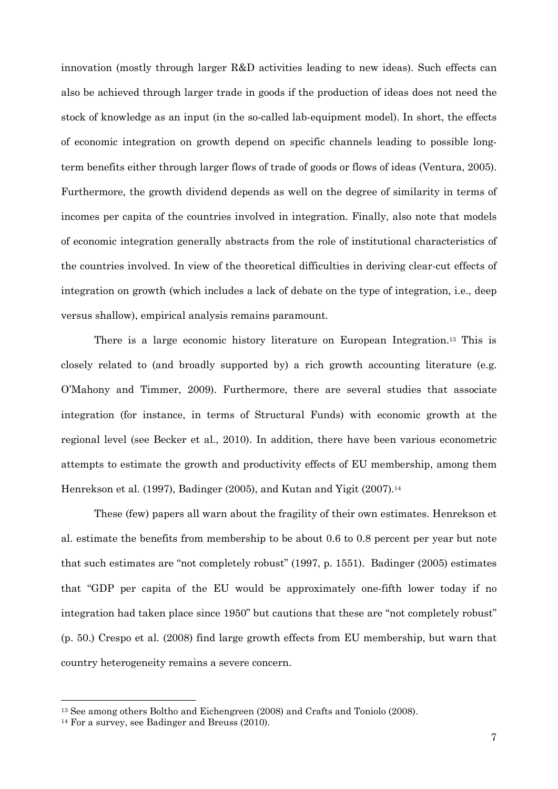innovation (mostly through larger R&D activities leading to new ideas). Such effects can also be achieved through larger trade in goods if the production of ideas does not need the stock of knowledge as an input (in the so-called lab-equipment model). In short, the effects of economic integration on growth depend on specific channels leading to possible longterm benefits either through larger flows of trade of goods or flows of ideas (Ventura, 2005). Furthermore, the growth dividend depends as well on the degree of similarity in terms of incomes per capita of the countries involved in integration. Finally, also note that models of economic integration generally abstracts from the role of institutional characteristics of the countries involved. In view of the theoretical difficulties in deriving clear-cut effects of integration on growth (which includes a lack of debate on the type of integration, i.e., deep versus shallow), empirical analysis remains paramount.

There is a large economic history literature on European Integration.13 This is closely related to (and broadly supported by) a rich growth accounting literature (e.g. O'Mahony and Timmer, 2009). Furthermore, there are several studies that associate integration (for instance, in terms of Structural Funds) with economic growth at the regional level (see Becker et al., 2010). In addition, there have been various econometric attempts to estimate the growth and productivity effects of EU membership, among them Henrekson et al. (1997), Badinger (2005), and Kutan and Yigit (2007).<sup>14</sup>

These (few) papers all warn about the fragility of their own estimates. Henrekson et al. estimate the benefits from membership to be about 0.6 to 0.8 percent per year but note that such estimates are "not completely robust" (1997, p. 1551). Badinger (2005) estimates that "GDP per capita of the EU would be approximately one-fifth lower today if no integration had taken place since 1950" but cautions that these are "not completely robust" (p. 50.) Crespo et al. (2008) find large growth effects from EU membership, but warn that country heterogeneity remains a severe concern.

<sup>13</sup> See among others Boltho and Eichengreen (2008) and Crafts and Toniolo (2008).

<sup>14</sup> For a survey, see Badinger and Breuss (2010).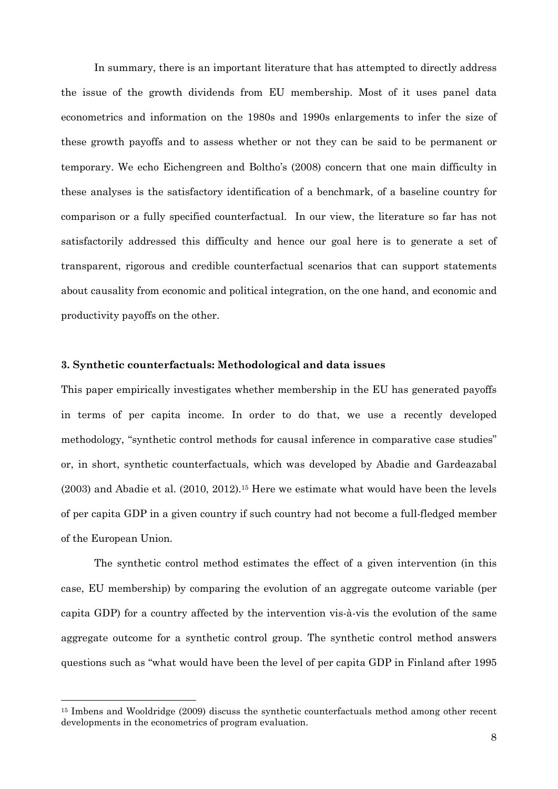In summary, there is an important literature that has attempted to directly address the issue of the growth dividends from EU membership. Most of it uses panel data econometrics and information on the 1980s and 1990s enlargements to infer the size of these growth payoffs and to assess whether or not they can be said to be permanent or temporary. We echo Eichengreen and Boltho's (2008) concern that one main difficulty in these analyses is the satisfactory identification of a benchmark, of a baseline country for comparison or a fully specified counterfactual. In our view, the literature so far has not satisfactorily addressed this difficulty and hence our goal here is to generate a set of transparent, rigorous and credible counterfactual scenarios that can support statements about causality from economic and political integration, on the one hand, and economic and productivity payoffs on the other.

#### **3. Synthetic counterfactuals: Methodological and data issues**

This paper empirically investigates whether membership in the EU has generated payoffs in terms of per capita income. In order to do that, we use a recently developed methodology, "synthetic control methods for causal inference in comparative case studies" or, in short, synthetic counterfactuals, which was developed by Abadie and Gardeazabal (2003) and Abadie et al. (2010, 2012).15 Here we estimate what would have been the levels of per capita GDP in a given country if such country had not become a full-fledged member of the European Union.

The synthetic control method estimates the effect of a given intervention (in this case, EU membership) by comparing the evolution of an aggregate outcome variable (per capita GDP) for a country affected by the intervention vis-à-vis the evolution of the same aggregate outcome for a synthetic control group. The synthetic control method answers questions such as "what would have been the level of per capita GDP in Finland after 1995

<sup>15</sup> Imbens and Wooldridge (2009) discuss the synthetic counterfactuals method among other recent developments in the econometrics of program evaluation.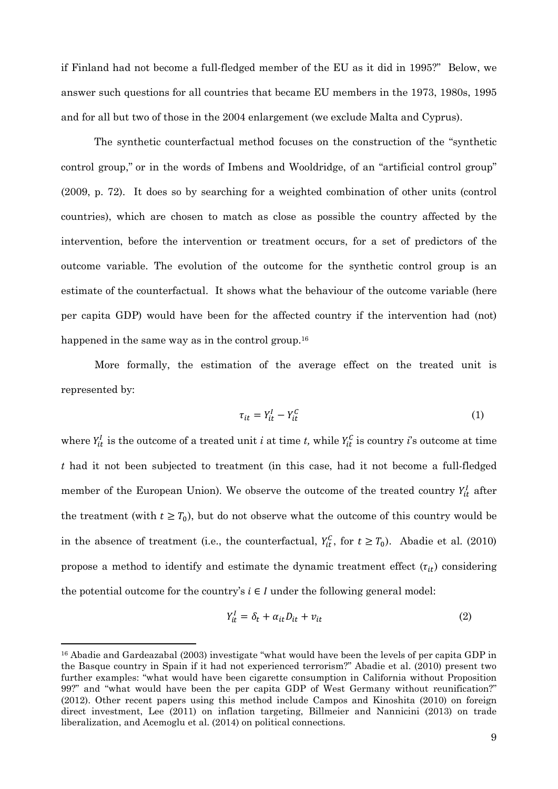if Finland had not become a full-fledged member of the EU as it did in 1995?" Below, we answer such questions for all countries that became EU members in the 1973, 1980s, 1995 and for all but two of those in the 2004 enlargement (we exclude Malta and Cyprus).

The synthetic counterfactual method focuses on the construction of the "synthetic control group," or in the words of Imbens and Wooldridge, of an "artificial control group" (2009, p. 72). It does so by searching for a weighted combination of other units (control countries), which are chosen to match as close as possible the country affected by the intervention, before the intervention or treatment occurs, for a set of predictors of the outcome variable. The evolution of the outcome for the synthetic control group is an estimate of the counterfactual. It shows what the behaviour of the outcome variable (here per capita GDP) would have been for the affected country if the intervention had (not) happened in the same way as in the control group.<sup>16</sup>

More formally, the estimation of the average effect on the treated unit is represented by:

$$
\tau_{it} = Y_{it}^I - Y_{it}^C \tag{1}
$$

where  $Y_{it}^I$  is the outcome of a treated unit *i* at time *t*, while  $Y_{it}^C$  is country *i*'s outcome at time *t* had it not been subjected to treatment (in this case, had it not become a full-fledged member of the European Union). We observe the outcome of the treated country  $Y_{it}^I$  after the treatment (with  $t \geq T_0$ ), but do not observe what the outcome of this country would be in the absence of treatment (i.e., the counterfactual,  $Y_{it}^C$ , for  $t \geq T_0$ ). Abadie et al. (2010) propose a method to identify and estimate the dynamic treatment effect  $(\tau_{it})$  considering the potential outcome for the country's  $i \in I$  under the following general model:

$$
Y_{it}^I = \delta_t + \alpha_{it} D_{it} + \nu_{it} \tag{2}
$$

 $\overline{\phantom{a}}$ 

<sup>&</sup>lt;sup>16</sup> Abadie and Gardeazabal (2003) investigate "what would have been the levels of per capita GDP in the Basque country in Spain if it had not experienced terrorism?" Abadie et al. (2010) present two further examples: "what would have been cigarette consumption in California without Proposition 99?" and "what would have been the per capita GDP of West Germany without reunification?" (2012). Other recent papers using this method include Campos and Kinoshita (2010) on foreign direct investment, Lee (2011) on inflation targeting, Billmeier and Nannicini (2013) on trade liberalization, and Acemoglu et al. (2014) on political connections.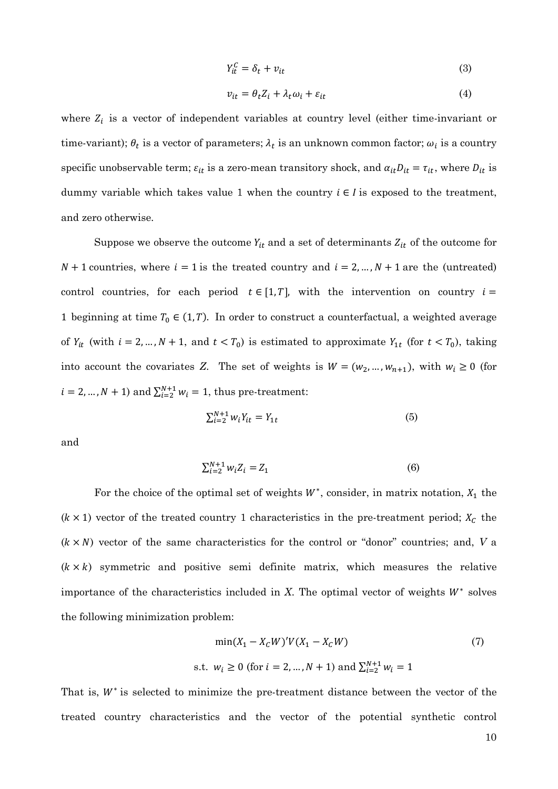$$
Y_{it}^C = \delta_t + v_{it} \tag{3}
$$

$$
v_{it} = \theta_t Z_i + \lambda_t \omega_i + \varepsilon_{it}
$$
 (4)

where  $Z_i$  is a vector of independent variables at country level (either time-invariant or time-variant);  $\theta_t$  is a vector of parameters;  $\lambda_t$  is an unknown common factor;  $\omega_i$  is a country specific unobservable term;  $\varepsilon_{it}$  is a zero-mean transitory shock, and  $\alpha_{it}D_{it} = \tau_{it}$ , where  $D_{it}$  is dummy variable which takes value 1 when the country  $i \in I$  is exposed to the treatment, and zero otherwise.

Suppose we observe the outcome  $Y_{it}$  and a set of determinants  $Z_{it}$  of the outcome for  $N + 1$  countries, where  $i = 1$  is the treated country and  $i = 2, ..., N + 1$  are the (untreated) control countries, for each period  $t \in [1,T]$ , with the intervention on country  $i =$ 1 beginning at time  $T_0 \in (1,T)$ . In order to construct a counterfactual, a weighted average of  $Y_{it}$  (with  $i = 2, ..., N + 1$ , and  $t < T_0$ ) is estimated to approximate  $Y_{it}$  (for  $t < T_0$ ), taking into account the covariates Z. The set of weights is  $W = (w_2, ..., w_{n+1})$ , with  $w_i \ge 0$  (for  $i = 2, ..., N + 1$ ) and  $\sum_{i=2}^{N+1} w_i = 1$ , thus pre-treatment:

$$
\sum_{i=2}^{N+1} w_i Y_{it} = Y_{1t} \tag{5}
$$

and

$$
\sum_{i=2}^{N+1} w_i Z_i = Z_1 \tag{6}
$$

For the choice of the optimal set of weights  $W^*$ , consider, in matrix notation,  $X_1$  the  $(k \times 1)$  vector of the treated country 1 characteristics in the pre-treatment period;  $X_c$  the  $(k \times N)$  vector of the same characteristics for the control or "donor" countries; and, *V* a  $(k \times k)$  symmetric and positive semi definite matrix, which measures the relative importance of the characteristics included in  $X$ . The optimal vector of weights  $W^*$  solves the following minimization problem:

$$
\min(X_1 - X_c W)'V(X_1 - X_c W)
$$
\n
$$
\text{s.t. } w_i \ge 0 \text{ (for } i = 2, \dots, N+1) \text{ and } \sum_{i=2}^{N+1} w_i = 1
$$
\n(7)

That is,  $W^*$  is selected to minimize the pre-treatment distance between the vector of the treated country characteristics and the vector of the potential synthetic control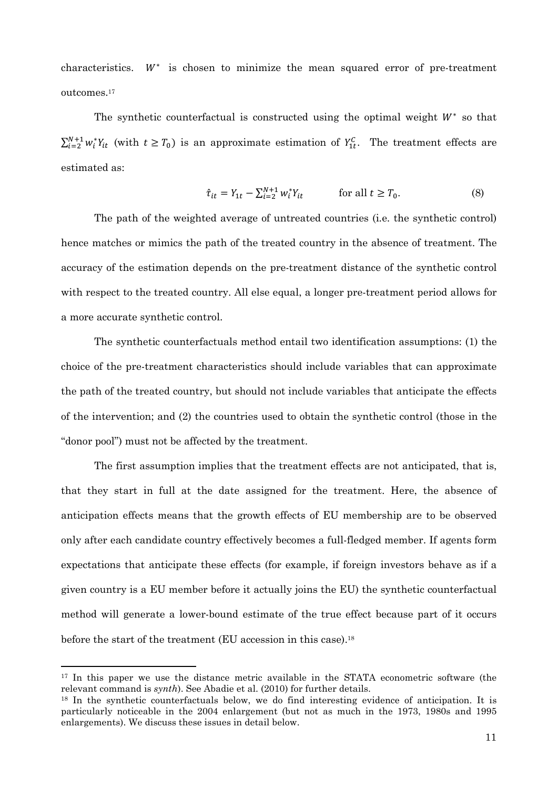characteristics.  $W^*$  is chosen to minimize the mean squared error of pre-treatment outcomes.<sup>17</sup>

The synthetic counterfactual is constructed using the optimal weight  $W^*$  so that  $\sum_{i=2}^{N+1} w_i^* Y_{it}$  (with  $t \geq T_0$ ) is an approximate estimation of  $Y_{1t}^C$ . The treatment effects are estimated as:

$$
\hat{\tau}_{it} = Y_{1t} - \sum_{i=2}^{N+1} w_i^* Y_{it} \qquad \text{for all } t \ge T_0. \tag{8}
$$

 The path of the weighted average of untreated countries (i.e. the synthetic control) hence matches or mimics the path of the treated country in the absence of treatment. The accuracy of the estimation depends on the pre-treatment distance of the synthetic control with respect to the treated country. All else equal, a longer pre-treatment period allows for a more accurate synthetic control.

The synthetic counterfactuals method entail two identification assumptions: (1) the choice of the pre-treatment characteristics should include variables that can approximate the path of the treated country, but should not include variables that anticipate the effects of the intervention; and (2) the countries used to obtain the synthetic control (those in the "donor pool") must not be affected by the treatment.

The first assumption implies that the treatment effects are not anticipated, that is, that they start in full at the date assigned for the treatment. Here, the absence of anticipation effects means that the growth effects of EU membership are to be observed only after each candidate country effectively becomes a full-fledged member. If agents form expectations that anticipate these effects (for example, if foreign investors behave as if a given country is a EU member before it actually joins the EU) the synthetic counterfactual method will generate a lower-bound estimate of the true effect because part of it occurs before the start of the treatment (EU accession in this case).<sup>18</sup>

<sup>&</sup>lt;sup>17</sup> In this paper we use the distance metric available in the STATA econometric software (the relevant command is *synth*). See Abadie et al. (2010) for further details.

<sup>&</sup>lt;sup>18</sup> In the synthetic counterfactuals below, we do find interesting evidence of anticipation. It is particularly noticeable in the 2004 enlargement (but not as much in the 1973, 1980s and 1995 enlargements). We discuss these issues in detail below.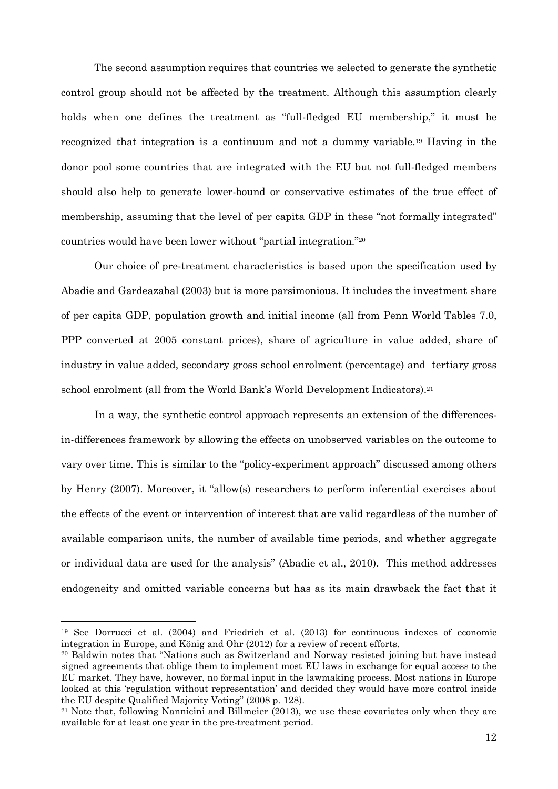The second assumption requires that countries we selected to generate the synthetic control group should not be affected by the treatment. Although this assumption clearly holds when one defines the treatment as "full-fledged EU membership," it must be recognized that integration is a continuum and not a dummy variable.19 Having in the donor pool some countries that are integrated with the EU but not full-fledged members should also help to generate lower-bound or conservative estimates of the true effect of membership, assuming that the level of per capita GDP in these "not formally integrated" countries would have been lower without "partial integration."<sup>20</sup>

Our choice of pre-treatment characteristics is based upon the specification used by Abadie and Gardeazabal (2003) but is more parsimonious. It includes the investment share of per capita GDP, population growth and initial income (all from Penn World Tables 7.0, PPP converted at 2005 constant prices), share of agriculture in value added, share of industry in value added, secondary gross school enrolment (percentage) and tertiary gross school enrolment (all from the World Bank's World Development Indicators).<sup>21</sup>

In a way, the synthetic control approach represents an extension of the differencesin-differences framework by allowing the effects on unobserved variables on the outcome to vary over time. This is similar to the "policy-experiment approach" discussed among others by Henry (2007). Moreover, it "allow(s) researchers to perform inferential exercises about the effects of the event or intervention of interest that are valid regardless of the number of available comparison units, the number of available time periods, and whether aggregate or individual data are used for the analysis" (Abadie et al., 2010). This method addresses endogeneity and omitted variable concerns but has as its main drawback the fact that it

 $\overline{\phantom{a}}$ 

<sup>19</sup> See Dorrucci et al. (2004) and Friedrich et al. (2013) for continuous indexes of economic integration in Europe, and König and Ohr (2012) for a review of recent efforts.

<sup>20</sup> Baldwin notes that "Nations such as Switzerland and Norway resisted joining but have instead signed agreements that oblige them to implement most EU laws in exchange for equal access to the EU market. They have, however, no formal input in the lawmaking process. Most nations in Europe looked at this 'regulation without representation' and decided they would have more control inside the EU despite Qualified Majority Voting" (2008 p. 128).

<sup>21</sup> Note that, following Nannicini and Billmeier (2013), we use these covariates only when they are available for at least one year in the pre-treatment period.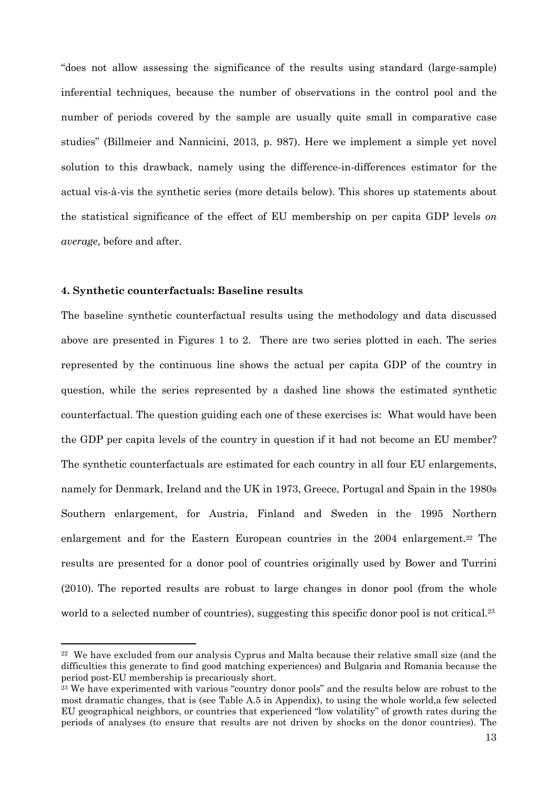"does not allow assessing the significance of the results using standard (large-sample) inferential techniques, because the number of observations in the control pool and the number of periods covered by the sample are usually quite small in comparative case studies" (Billmeier and Nannicini, 2013, p. 987). Here we implement a simple yet novel solution to this drawback, namely using the difference-in-differences estimator for the actual vis-à-vis the synthetic series (more details below). This shores up statements about the statistical significance of the effect of EU membership on per capita GDP levels *on average*, before and after.

#### **4. Synthetic counterfactuals: Baseline results**

 $\overline{\phantom{a}}$ 

The baseline synthetic counterfactual results using the methodology and data discussed above are presented in Figures 1 to 2. There are two series plotted in each. The series represented by the continuous line shows the actual per capita GDP of the country in question, while the series represented by a dashed line shows the estimated synthetic counterfactual. The question guiding each one of these exercises is: What would have been the GDP per capita levels of the country in question if it had not become an EU member? The synthetic counterfactuals are estimated for each country in all four EU enlargements, namely for Denmark, Ireland and the UK in 1973, Greece, Portugal and Spain in the 1980s Southern enlargement, for Austria, Finland and Sweden in the 1995 Northern enlargement and for the Eastern European countries in the 2004 enlargement.<sup>22</sup> The results are presented for a donor pool of countries originally used by Bower and Turrini (2010). The reported results are robust to large changes in donor pool (from the whole world to a selected number of countries), suggesting this specific donor pool is not critical.<sup>23</sup>

<sup>&</sup>lt;sup>22</sup> We have excluded from our analysis Cyprus and Malta because their relative small size (and the difficulties this generate to find good matching experiences) and Bulgaria and Romania because the period post-EU membership is precariously short.

<sup>&</sup>lt;sup>23</sup> We have experimented with various "country donor pools" and the results below are robust to the most dramatic changes, that is (see Table A.5 in Appendix), to using the whole world,a few selected EU geographical neighbors, or countries that experienced "low volatility" of growth rates during the periods of analyses (to ensure that results are not driven by shocks on the donor countries). The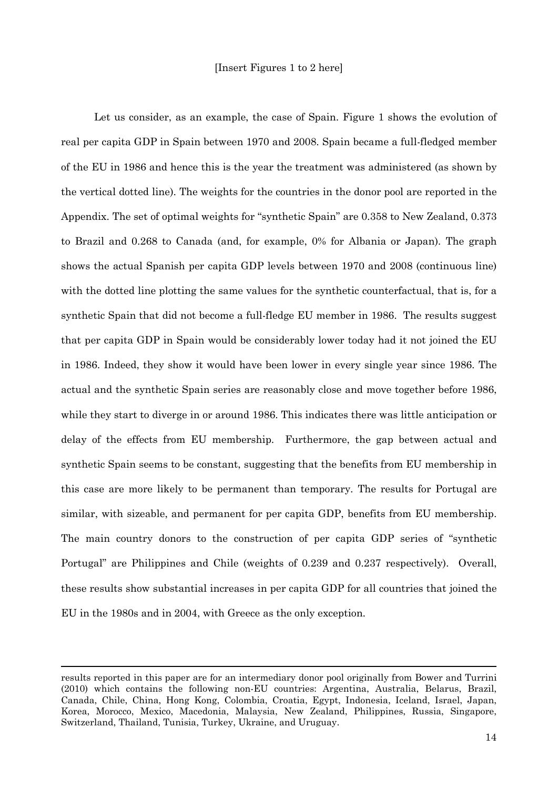Let us consider, as an example, the case of Spain. Figure 1 shows the evolution of real per capita GDP in Spain between 1970 and 2008. Spain became a full-fledged member of the EU in 1986 and hence this is the year the treatment was administered (as shown by the vertical dotted line). The weights for the countries in the donor pool are reported in the Appendix. The set of optimal weights for "synthetic Spain" are 0.358 to New Zealand, 0.373 to Brazil and 0.268 to Canada (and, for example, 0% for Albania or Japan). The graph shows the actual Spanish per capita GDP levels between 1970 and 2008 (continuous line) with the dotted line plotting the same values for the synthetic counterfactual, that is, for a synthetic Spain that did not become a full-fledge EU member in 1986. The results suggest that per capita GDP in Spain would be considerably lower today had it not joined the EU in 1986. Indeed, they show it would have been lower in every single year since 1986. The actual and the synthetic Spain series are reasonably close and move together before 1986, while they start to diverge in or around 1986. This indicates there was little anticipation or delay of the effects from EU membership. Furthermore, the gap between actual and synthetic Spain seems to be constant, suggesting that the benefits from EU membership in this case are more likely to be permanent than temporary. The results for Portugal are similar, with sizeable, and permanent for per capita GDP, benefits from EU membership. The main country donors to the construction of per capita GDP series of "synthetic Portugal" are Philippines and Chile (weights of 0.239 and 0.237 respectively). Overall, these results show substantial increases in per capita GDP for all countries that joined the EU in the 1980s and in 2004, with Greece as the only exception.

results reported in this paper are for an intermediary donor pool originally from Bower and Turrini (2010) which contains the following non-EU countries: Argentina, Australia, Belarus, Brazil, Canada, Chile, China, Hong Kong, Colombia, Croatia, Egypt, Indonesia, Iceland, Israel, Japan, Korea, Morocco, Mexico, Macedonia, Malaysia, New Zealand, Philippines, Russia, Singapore, Switzerland, Thailand, Tunisia, Turkey, Ukraine, and Uruguay.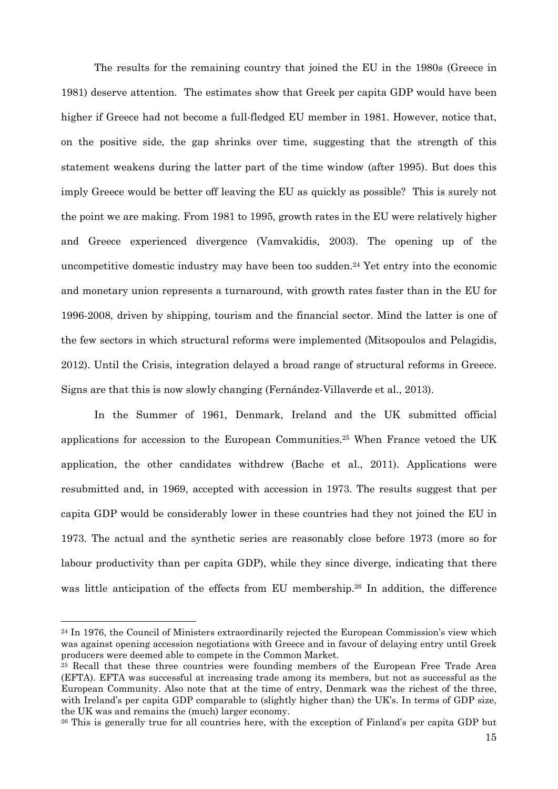The results for the remaining country that joined the EU in the 1980s (Greece in 1981) deserve attention. The estimates show that Greek per capita GDP would have been higher if Greece had not become a full-fledged EU member in 1981. However, notice that, on the positive side, the gap shrinks over time, suggesting that the strength of this statement weakens during the latter part of the time window (after 1995). But does this imply Greece would be better off leaving the EU as quickly as possible? This is surely not the point we are making. From 1981 to 1995, growth rates in the EU were relatively higher and Greece experienced divergence (Vamvakidis, 2003). The opening up of the uncompetitive domestic industry may have been too sudden.<sup>24</sup> Yet entry into the economic and monetary union represents a turnaround, with growth rates faster than in the EU for 1996-2008, driven by shipping, tourism and the financial sector. Mind the latter is one of the few sectors in which structural reforms were implemented (Mitsopoulos and Pelagidis, 2012). Until the Crisis, integration delayed a broad range of structural reforms in Greece. Signs are that this is now slowly changing (Fernández-Villaverde et al., 2013).

In the Summer of 1961, Denmark, Ireland and the UK submitted official applications for accession to the European Communities.25 When France vetoed the UK application, the other candidates withdrew (Bache et al., 2011). Applications were resubmitted and, in 1969, accepted with accession in 1973. The results suggest that per capita GDP would be considerably lower in these countries had they not joined the EU in 1973. The actual and the synthetic series are reasonably close before 1973 (more so for labour productivity than per capita GDP), while they since diverge, indicating that there was little anticipation of the effects from EU membership.<sup>26</sup> In addition, the difference

 $\overline{\phantom{a}}$ 

<sup>&</sup>lt;sup>24</sup> In 1976, the Council of Ministers extraordinarily rejected the European Commission's view which was against opening accession negotiations with Greece and in favour of delaying entry until Greek producers were deemed able to compete in the Common Market.

<sup>&</sup>lt;sup>25</sup> Recall that these three countries were founding members of the European Free Trade Area (EFTA). EFTA was successful at increasing trade among its members, but not as successful as the European Community. Also note that at the time of entry, Denmark was the richest of the three, with Ireland's per capita GDP comparable to (slightly higher than) the UK's. In terms of GDP size, the UK was and remains the (much) larger economy.

<sup>26</sup> This is generally true for all countries here, with the exception of Finland's per capita GDP but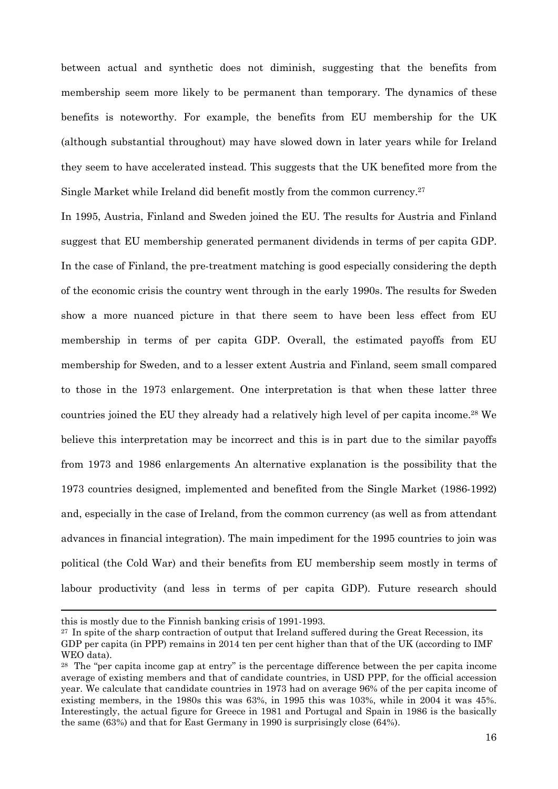between actual and synthetic does not diminish, suggesting that the benefits from membership seem more likely to be permanent than temporary. The dynamics of these benefits is noteworthy. For example, the benefits from EU membership for the UK (although substantial throughout) may have slowed down in later years while for Ireland they seem to have accelerated instead. This suggests that the UK benefited more from the Single Market while Ireland did benefit mostly from the common currency.<sup>27</sup>

In 1995, Austria, Finland and Sweden joined the EU. The results for Austria and Finland suggest that EU membership generated permanent dividends in terms of per capita GDP. In the case of Finland, the pre-treatment matching is good especially considering the depth of the economic crisis the country went through in the early 1990s. The results for Sweden show a more nuanced picture in that there seem to have been less effect from EU membership in terms of per capita GDP. Overall, the estimated payoffs from EU membership for Sweden, and to a lesser extent Austria and Finland, seem small compared to those in the 1973 enlargement. One interpretation is that when these latter three countries joined the EU they already had a relatively high level of per capita income.28 We believe this interpretation may be incorrect and this is in part due to the similar payoffs from 1973 and 1986 enlargements An alternative explanation is the possibility that the 1973 countries designed, implemented and benefited from the Single Market (1986-1992) and, especially in the case of Ireland, from the common currency (as well as from attendant advances in financial integration). The main impediment for the 1995 countries to join was political (the Cold War) and their benefits from EU membership seem mostly in terms of labour productivity (and less in terms of per capita GDP). Future research should

 $\overline{\phantom{a}}$ 

this is mostly due to the Finnish banking crisis of 1991-1993.

<sup>&</sup>lt;sup>27</sup> In spite of the sharp contraction of output that Ireland suffered during the Great Recession, its

GDP per capita (in PPP) remains in 2014 ten per cent higher than that of the UK (according to IMF WEO data).

<sup>&</sup>lt;sup>28</sup> The "per capita income gap at entry" is the percentage difference between the per capita income average of existing members and that of candidate countries, in USD PPP, for the official accession year. We calculate that candidate countries in 1973 had on average 96% of the per capita income of existing members, in the 1980s this was 63%, in 1995 this was 103%, while in 2004 it was 45%. Interestingly, the actual figure for Greece in 1981 and Portugal and Spain in 1986 is the basically the same (63%) and that for East Germany in 1990 is surprisingly close (64%).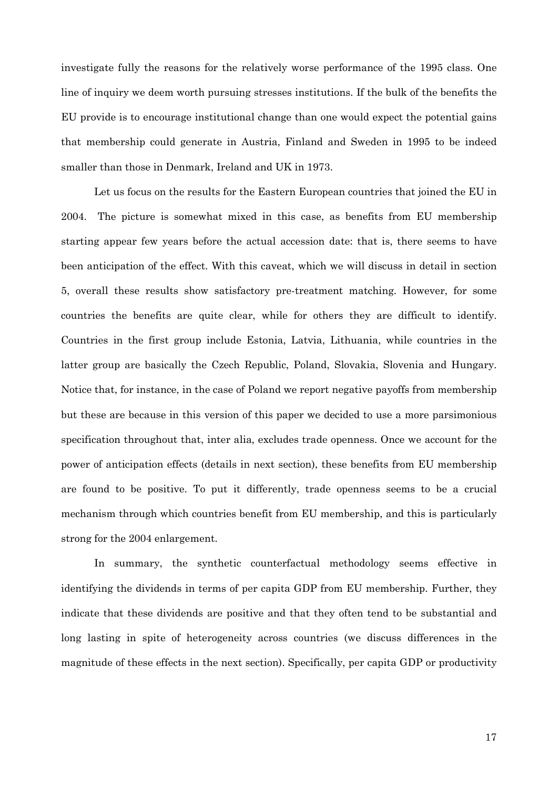investigate fully the reasons for the relatively worse performance of the 1995 class. One line of inquiry we deem worth pursuing stresses institutions. If the bulk of the benefits the EU provide is to encourage institutional change than one would expect the potential gains that membership could generate in Austria, Finland and Sweden in 1995 to be indeed smaller than those in Denmark, Ireland and UK in 1973.

 Let us focus on the results for the Eastern European countries that joined the EU in 2004. The picture is somewhat mixed in this case, as benefits from EU membership starting appear few years before the actual accession date: that is, there seems to have been anticipation of the effect. With this caveat, which we will discuss in detail in section 5, overall these results show satisfactory pre-treatment matching. However, for some countries the benefits are quite clear, while for others they are difficult to identify. Countries in the first group include Estonia, Latvia, Lithuania, while countries in the latter group are basically the Czech Republic, Poland, Slovakia, Slovenia and Hungary. Notice that, for instance, in the case of Poland we report negative payoffs from membership but these are because in this version of this paper we decided to use a more parsimonious specification throughout that, inter alia, excludes trade openness. Once we account for the power of anticipation effects (details in next section), these benefits from EU membership are found to be positive. To put it differently, trade openness seems to be a crucial mechanism through which countries benefit from EU membership, and this is particularly strong for the 2004 enlargement.

 In summary, the synthetic counterfactual methodology seems effective in identifying the dividends in terms of per capita GDP from EU membership. Further, they indicate that these dividends are positive and that they often tend to be substantial and long lasting in spite of heterogeneity across countries (we discuss differences in the magnitude of these effects in the next section). Specifically, per capita GDP or productivity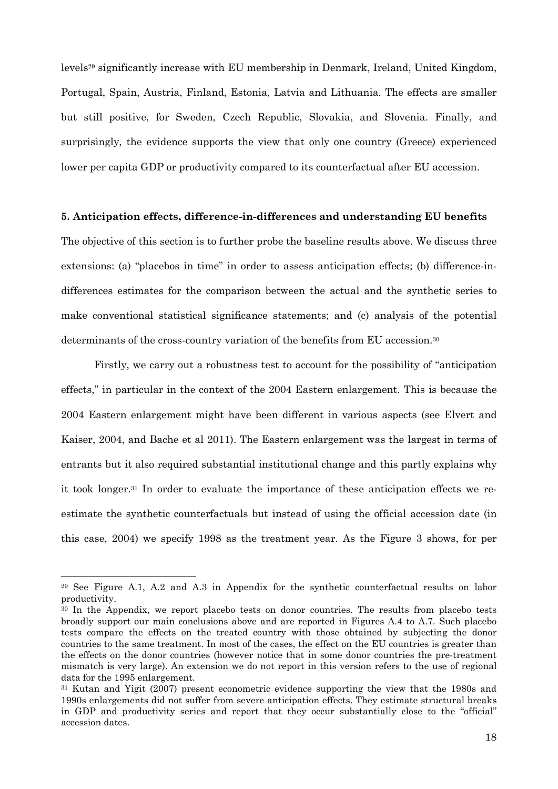levels29 significantly increase with EU membership in Denmark, Ireland, United Kingdom, Portugal, Spain, Austria, Finland, Estonia, Latvia and Lithuania. The effects are smaller but still positive, for Sweden, Czech Republic, Slovakia, and Slovenia. Finally, and surprisingly, the evidence supports the view that only one country (Greece) experienced lower per capita GDP or productivity compared to its counterfactual after EU accession.

#### **5. Anticipation effects, difference-in-differences and understanding EU benefits**

The objective of this section is to further probe the baseline results above. We discuss three extensions: (a) "placebos in time" in order to assess anticipation effects; (b) difference-indifferences estimates for the comparison between the actual and the synthetic series to make conventional statistical significance statements; and (c) analysis of the potential determinants of the cross-country variation of the benefits from EU accession.<sup>30</sup>

Firstly, we carry out a robustness test to account for the possibility of "anticipation effects," in particular in the context of the 2004 Eastern enlargement. This is because the 2004 Eastern enlargement might have been different in various aspects (see Elvert and Kaiser, 2004, and Bache et al 2011). The Eastern enlargement was the largest in terms of entrants but it also required substantial institutional change and this partly explains why it took longer.31 In order to evaluate the importance of these anticipation effects we reestimate the synthetic counterfactuals but instead of using the official accession date (in this case, 2004) we specify 1998 as the treatment year. As the Figure 3 shows, for per

<sup>29</sup> See Figure A.1, A.2 and A.3 in Appendix for the synthetic counterfactual results on labor productivity.

<sup>&</sup>lt;sup>30</sup> In the Appendix, we report placebo tests on donor countries. The results from placebo tests broadly support our main conclusions above and are reported in Figures A.4 to A.7. Such placebo tests compare the effects on the treated country with those obtained by subjecting the donor countries to the same treatment. In most of the cases, the effect on the EU countries is greater than the effects on the donor countries (however notice that in some donor countries the pre-treatment mismatch is very large). An extension we do not report in this version refers to the use of regional data for the 1995 enlargement.

<sup>31</sup> Kutan and Yigit (2007) present econometric evidence supporting the view that the 1980s and 1990s enlargements did not suffer from severe anticipation effects. They estimate structural breaks in GDP and productivity series and report that they occur substantially close to the "official" accession dates.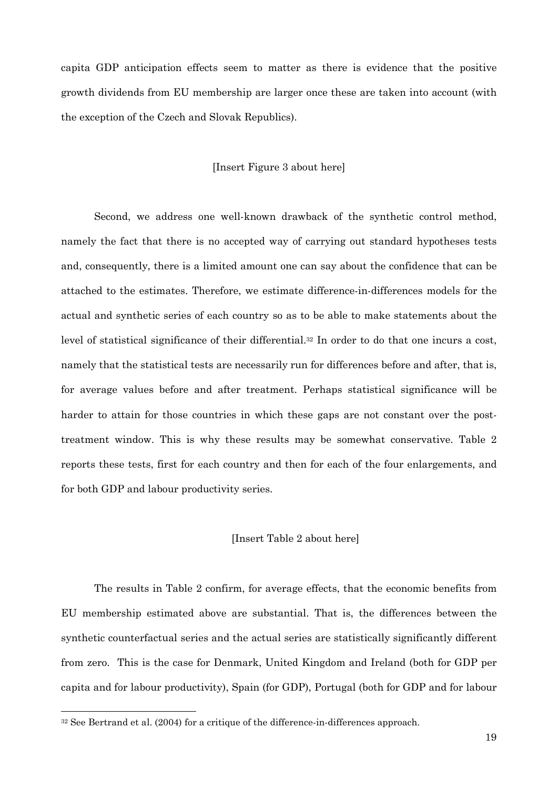capita GDP anticipation effects seem to matter as there is evidence that the positive growth dividends from EU membership are larger once these are taken into account (with the exception of the Czech and Slovak Republics).

#### [Insert Figure 3 about here]

Second, we address one well-known drawback of the synthetic control method, namely the fact that there is no accepted way of carrying out standard hypotheses tests and, consequently, there is a limited amount one can say about the confidence that can be attached to the estimates. Therefore, we estimate difference-in-differences models for the actual and synthetic series of each country so as to be able to make statements about the level of statistical significance of their differential.32 In order to do that one incurs a cost, namely that the statistical tests are necessarily run for differences before and after, that is, for average values before and after treatment. Perhaps statistical significance will be harder to attain for those countries in which these gaps are not constant over the posttreatment window. This is why these results may be somewhat conservative. Table 2 reports these tests, first for each country and then for each of the four enlargements, and for both GDP and labour productivity series.

#### [Insert Table 2 about here]

 The results in Table 2 confirm, for average effects, that the economic benefits from EU membership estimated above are substantial. That is, the differences between the synthetic counterfactual series and the actual series are statistically significantly different from zero. This is the case for Denmark, United Kingdom and Ireland (both for GDP per capita and for labour productivity), Spain (for GDP), Portugal (both for GDP and for labour

<sup>&</sup>lt;sup>32</sup> See Bertrand et al. (2004) for a critique of the difference-in-differences approach.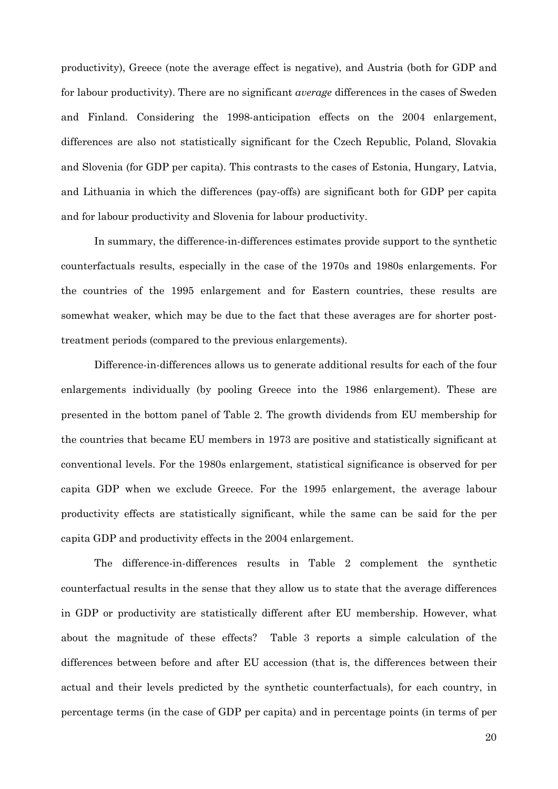productivity), Greece (note the average effect is negative), and Austria (both for GDP and for labour productivity). There are no significant *average* differences in the cases of Sweden and Finland. Considering the 1998-anticipation effects on the 2004 enlargement, differences are also not statistically significant for the Czech Republic, Poland, Slovakia and Slovenia (for GDP per capita). This contrasts to the cases of Estonia, Hungary, Latvia, and Lithuania in which the differences (pay-offs) are significant both for GDP per capita and for labour productivity and Slovenia for labour productivity.

 In summary, the difference-in-differences estimates provide support to the synthetic counterfactuals results, especially in the case of the 1970s and 1980s enlargements. For the countries of the 1995 enlargement and for Eastern countries, these results are somewhat weaker, which may be due to the fact that these averages are for shorter posttreatment periods (compared to the previous enlargements).

 Difference-in-differences allows us to generate additional results for each of the four enlargements individually (by pooling Greece into the 1986 enlargement). These are presented in the bottom panel of Table 2. The growth dividends from EU membership for the countries that became EU members in 1973 are positive and statistically significant at conventional levels. For the 1980s enlargement, statistical significance is observed for per capita GDP when we exclude Greece. For the 1995 enlargement, the average labour productivity effects are statistically significant, while the same can be said for the per capita GDP and productivity effects in the 2004 enlargement.

 The difference-in-differences results in Table 2 complement the synthetic counterfactual results in the sense that they allow us to state that the average differences in GDP or productivity are statistically different after EU membership. However, what about the magnitude of these effects? Table 3 reports a simple calculation of the differences between before and after EU accession (that is, the differences between their actual and their levels predicted by the synthetic counterfactuals), for each country, in percentage terms (in the case of GDP per capita) and in percentage points (in terms of per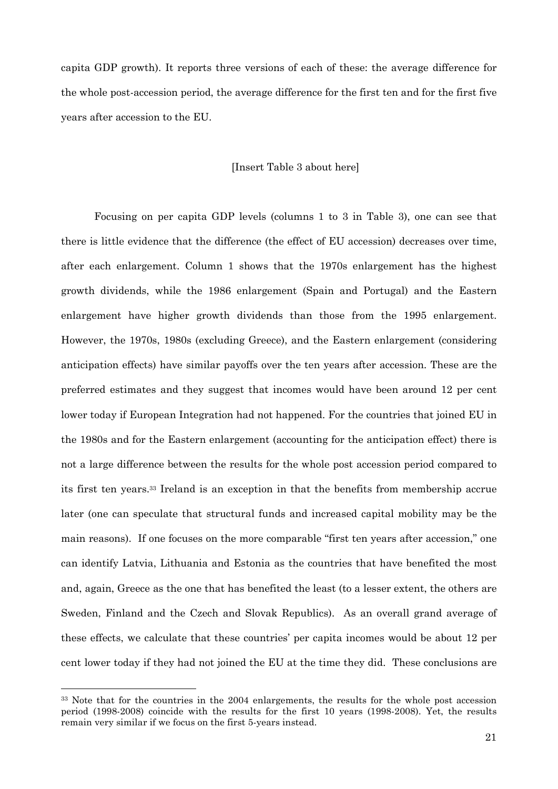capita GDP growth). It reports three versions of each of these: the average difference for the whole post-accession period, the average difference for the first ten and for the first five years after accession to the EU.

#### [Insert Table 3 about here]

Focusing on per capita GDP levels (columns 1 to 3 in Table 3), one can see that there is little evidence that the difference (the effect of EU accession) decreases over time, after each enlargement. Column 1 shows that the 1970s enlargement has the highest growth dividends, while the 1986 enlargement (Spain and Portugal) and the Eastern enlargement have higher growth dividends than those from the 1995 enlargement. However, the 1970s, 1980s (excluding Greece), and the Eastern enlargement (considering anticipation effects) have similar payoffs over the ten years after accession. These are the preferred estimates and they suggest that incomes would have been around 12 per cent lower today if European Integration had not happened. For the countries that joined EU in the 1980s and for the Eastern enlargement (accounting for the anticipation effect) there is not a large difference between the results for the whole post accession period compared to its first ten years.33 Ireland is an exception in that the benefits from membership accrue later (one can speculate that structural funds and increased capital mobility may be the main reasons). If one focuses on the more comparable "first ten years after accession," one can identify Latvia, Lithuania and Estonia as the countries that have benefited the most and, again, Greece as the one that has benefited the least (to a lesser extent, the others are Sweden, Finland and the Czech and Slovak Republics). As an overall grand average of these effects, we calculate that these countries' per capita incomes would be about 12 per cent lower today if they had not joined the EU at the time they did. These conclusions are

<sup>33</sup> Note that for the countries in the 2004 enlargements, the results for the whole post accession period (1998-2008) coincide with the results for the first 10 years (1998-2008). Yet, the results remain very similar if we focus on the first 5-years instead.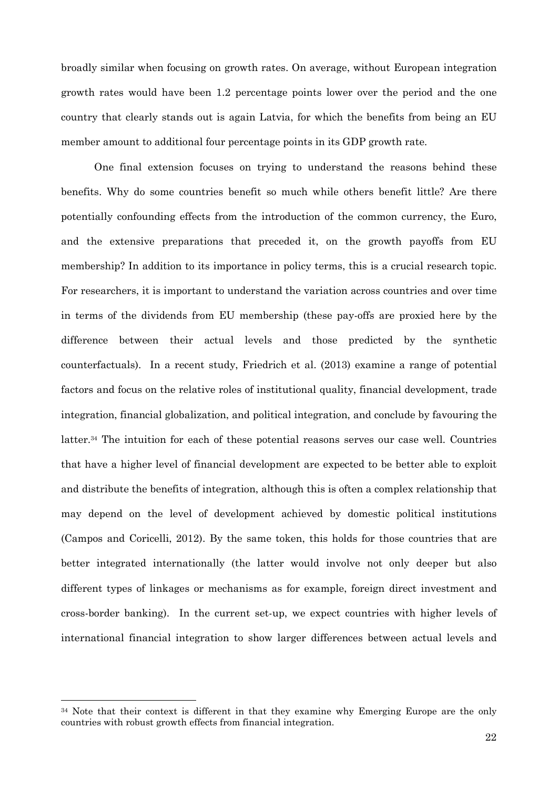broadly similar when focusing on growth rates. On average, without European integration growth rates would have been 1.2 percentage points lower over the period and the one country that clearly stands out is again Latvia, for which the benefits from being an EU member amount to additional four percentage points in its GDP growth rate.

One final extension focuses on trying to understand the reasons behind these benefits. Why do some countries benefit so much while others benefit little? Are there potentially confounding effects from the introduction of the common currency, the Euro, and the extensive preparations that preceded it, on the growth payoffs from EU membership? In addition to its importance in policy terms, this is a crucial research topic. For researchers, it is important to understand the variation across countries and over time in terms of the dividends from EU membership (these pay-offs are proxied here by the difference between their actual levels and those predicted by the synthetic counterfactuals). In a recent study, Friedrich et al. (2013) examine a range of potential factors and focus on the relative roles of institutional quality, financial development, trade integration, financial globalization, and political integration, and conclude by favouring the latter.34 The intuition for each of these potential reasons serves our case well. Countries that have a higher level of financial development are expected to be better able to exploit and distribute the benefits of integration, although this is often a complex relationship that may depend on the level of development achieved by domestic political institutions (Campos and Coricelli, 2012). By the same token, this holds for those countries that are better integrated internationally (the latter would involve not only deeper but also different types of linkages or mechanisms as for example, foreign direct investment and cross-border banking). In the current set-up, we expect countries with higher levels of international financial integration to show larger differences between actual levels and

<sup>&</sup>lt;sup>34</sup> Note that their context is different in that they examine why Emerging Europe are the only countries with robust growth effects from financial integration.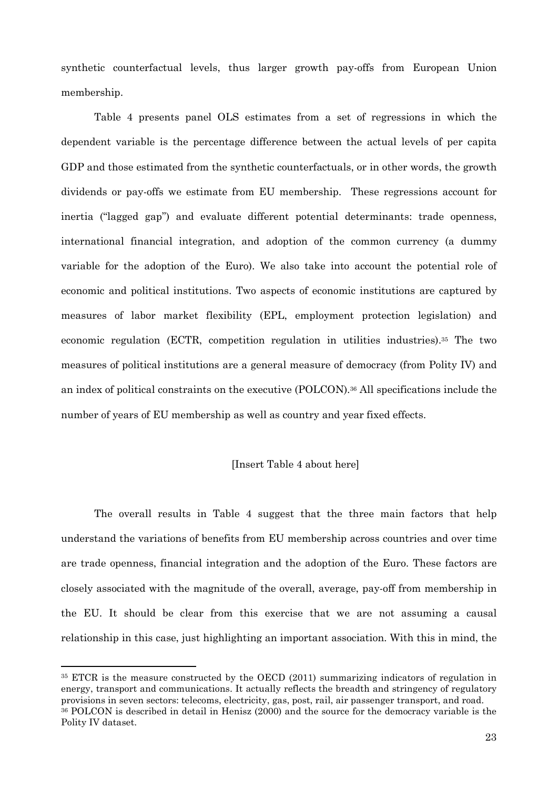synthetic counterfactual levels, thus larger growth pay-offs from European Union membership.

Table 4 presents panel OLS estimates from a set of regressions in which the dependent variable is the percentage difference between the actual levels of per capita GDP and those estimated from the synthetic counterfactuals, or in other words, the growth dividends or pay-offs we estimate from EU membership. These regressions account for inertia ("lagged gap") and evaluate different potential determinants: trade openness, international financial integration, and adoption of the common currency (a dummy variable for the adoption of the Euro). We also take into account the potential role of economic and political institutions. Two aspects of economic institutions are captured by measures of labor market flexibility (EPL, employment protection legislation) and economic regulation (ECTR, competition regulation in utilities industries).35 The two measures of political institutions are a general measure of democracy (from Polity IV) and an index of political constraints on the executive (POLCON).36 All specifications include the number of years of EU membership as well as country and year fixed effects.

#### [Insert Table 4 about here]

The overall results in Table 4 suggest that the three main factors that help understand the variations of benefits from EU membership across countries and over time are trade openness, financial integration and the adoption of the Euro. These factors are closely associated with the magnitude of the overall, average, pay-off from membership in the EU. It should be clear from this exercise that we are not assuming a causal relationship in this case, just highlighting an important association. With this in mind, the

<sup>35</sup> ETCR is the measure constructed by the OECD (2011) summarizing indicators of regulation in energy, transport and communications. It actually reflects the breadth and stringency of regulatory provisions in seven sectors: telecoms, electricity, gas, post, rail, air passenger transport, and road.

<sup>36</sup> POLCON is described in detail in Henisz (2000) and the source for the democracy variable is the Polity IV dataset.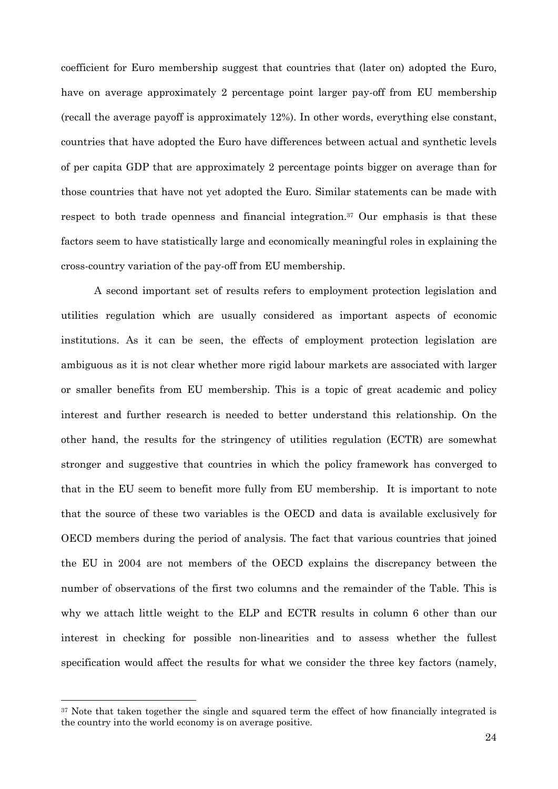coefficient for Euro membership suggest that countries that (later on) adopted the Euro, have on average approximately 2 percentage point larger pay-off from EU membership (recall the average payoff is approximately 12%). In other words, everything else constant, countries that have adopted the Euro have differences between actual and synthetic levels of per capita GDP that are approximately 2 percentage points bigger on average than for those countries that have not yet adopted the Euro. Similar statements can be made with respect to both trade openness and financial integration.37 Our emphasis is that these factors seem to have statistically large and economically meaningful roles in explaining the cross-country variation of the pay-off from EU membership.

A second important set of results refers to employment protection legislation and utilities regulation which are usually considered as important aspects of economic institutions. As it can be seen, the effects of employment protection legislation are ambiguous as it is not clear whether more rigid labour markets are associated with larger or smaller benefits from EU membership. This is a topic of great academic and policy interest and further research is needed to better understand this relationship. On the other hand, the results for the stringency of utilities regulation (ECTR) are somewhat stronger and suggestive that countries in which the policy framework has converged to that in the EU seem to benefit more fully from EU membership. It is important to note that the source of these two variables is the OECD and data is available exclusively for OECD members during the period of analysis. The fact that various countries that joined the EU in 2004 are not members of the OECD explains the discrepancy between the number of observations of the first two columns and the remainder of the Table. This is why we attach little weight to the ELP and ECTR results in column 6 other than our interest in checking for possible non-linearities and to assess whether the fullest specification would affect the results for what we consider the three key factors (namely,

<sup>&</sup>lt;sup>37</sup> Note that taken together the single and squared term the effect of how financially integrated is the country into the world economy is on average positive.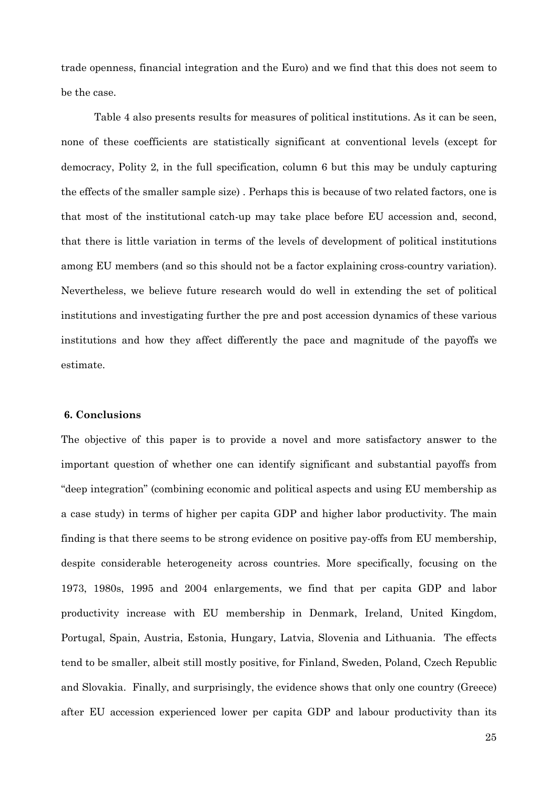trade openness, financial integration and the Euro) and we find that this does not seem to be the case.

Table 4 also presents results for measures of political institutions. As it can be seen, none of these coefficients are statistically significant at conventional levels (except for democracy, Polity 2, in the full specification, column 6 but this may be unduly capturing the effects of the smaller sample size) . Perhaps this is because of two related factors, one is that most of the institutional catch-up may take place before EU accession and, second, that there is little variation in terms of the levels of development of political institutions among EU members (and so this should not be a factor explaining cross-country variation). Nevertheless, we believe future research would do well in extending the set of political institutions and investigating further the pre and post accession dynamics of these various institutions and how they affect differently the pace and magnitude of the payoffs we estimate.

#### **6. Conclusions**

The objective of this paper is to provide a novel and more satisfactory answer to the important question of whether one can identify significant and substantial payoffs from "deep integration" (combining economic and political aspects and using EU membership as a case study) in terms of higher per capita GDP and higher labor productivity. The main finding is that there seems to be strong evidence on positive pay-offs from EU membership, despite considerable heterogeneity across countries. More specifically, focusing on the 1973, 1980s, 1995 and 2004 enlargements, we find that per capita GDP and labor productivity increase with EU membership in Denmark, Ireland, United Kingdom, Portugal, Spain, Austria, Estonia, Hungary, Latvia, Slovenia and Lithuania. The effects tend to be smaller, albeit still mostly positive, for Finland, Sweden, Poland, Czech Republic and Slovakia. Finally, and surprisingly, the evidence shows that only one country (Greece) after EU accession experienced lower per capita GDP and labour productivity than its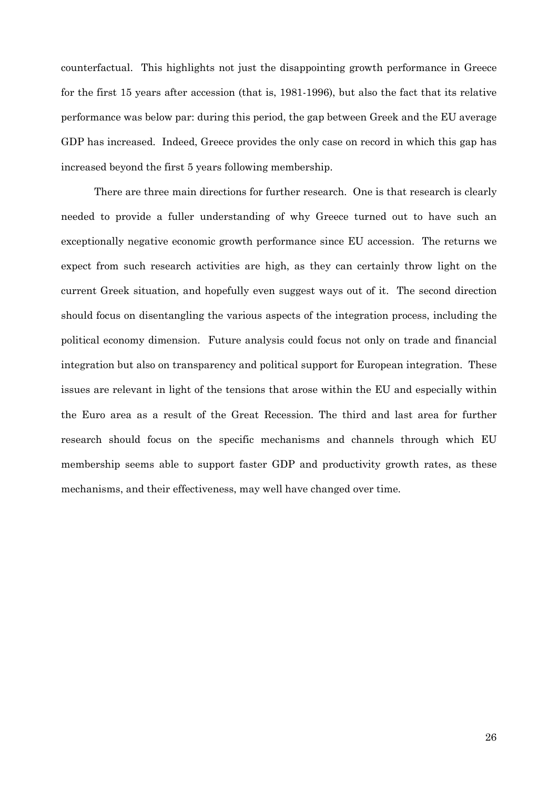counterfactual. This highlights not just the disappointing growth performance in Greece for the first 15 years after accession (that is, 1981-1996), but also the fact that its relative performance was below par: during this period, the gap between Greek and the EU average GDP has increased. Indeed, Greece provides the only case on record in which this gap has increased beyond the first 5 years following membership.

There are three main directions for further research. One is that research is clearly needed to provide a fuller understanding of why Greece turned out to have such an exceptionally negative economic growth performance since EU accession. The returns we expect from such research activities are high, as they can certainly throw light on the current Greek situation, and hopefully even suggest ways out of it. The second direction should focus on disentangling the various aspects of the integration process, including the political economy dimension. Future analysis could focus not only on trade and financial integration but also on transparency and political support for European integration. These issues are relevant in light of the tensions that arose within the EU and especially within the Euro area as a result of the Great Recession. The third and last area for further research should focus on the specific mechanisms and channels through which EU membership seems able to support faster GDP and productivity growth rates, as these mechanisms, and their effectiveness, may well have changed over time.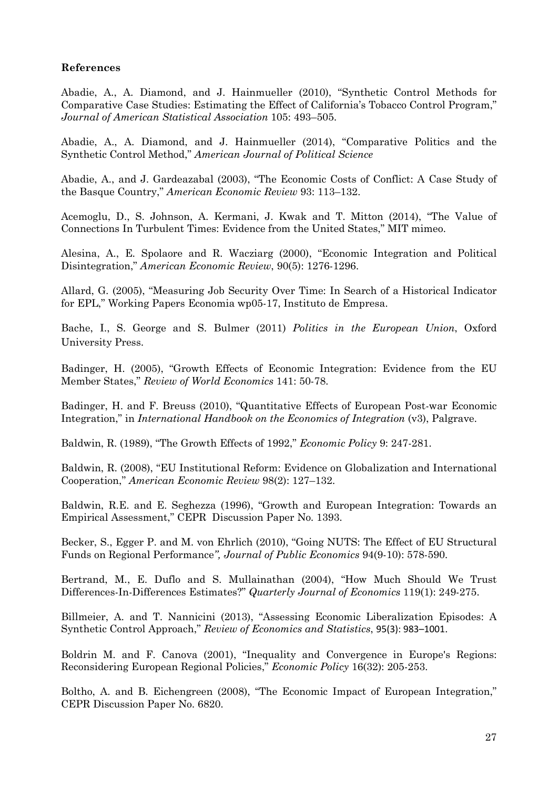#### **References**

Abadie, A., A. Diamond, and J. Hainmueller (2010), "Synthetic Control Methods for Comparative Case Studies: Estimating the Effect of California's Tobacco Control Program," *Journal of American Statistical Association* 105: 493–505.

Abadie, A., A. Diamond, and J. Hainmueller (2014), "Comparative Politics and the Synthetic Control Method," *American Journal of Political Science*

Abadie, A., and J. Gardeazabal (2003), "The Economic Costs of Conflict: A Case Study of the Basque Country," *American Economic Review* 93: 113–132.

Acemoglu, D., S. Johnson, A. Kermani, J. Kwak and T. Mitton (2014), "The Value of Connections In Turbulent Times: Evidence from the United States," MIT mimeo.

Alesina, A., E. Spolaore and R. Wacziarg (2000), "Economic Integration and Political Disintegration," *American Economic Review*, 90(5): 1276-1296.

Allard, G. (2005), "Measuring Job Security Over Time: In Search of a Historical Indicator for EPL," Working Papers Economia wp05-17, Instituto de Empresa.

Bache, I., S. George and S. Bulmer (2011) *Politics in the European Union*, Oxford University Press.

Badinger, H. (2005), "Growth Effects of Economic Integration: Evidence from the EU Member States," *Review of World Economics* 141: 50-78.

Badinger, H. and F. Breuss (2010), "Quantitative Effects of European Post-war Economic Integration," in *International Handbook on the Economics of Integration* (v3), Palgrave.

Baldwin, R. (1989), "The Growth Effects of 1992," *Economic Policy* 9: 247-281.

Baldwin, R. (2008), "EU Institutional Reform: Evidence on Globalization and International Cooperation," *American Economic Review* 98(2): 127–132.

Baldwin, R.E. and E. Seghezza (1996), "Growth and European Integration: Towards an Empirical Assessment," CEPR Discussion Paper No. 1393.

Becker, S., Egger P. and M. von Ehrlich (2010), "Going NUTS: The Effect of EU Structural Funds on Regional Performance*", Journal of Public Economics* 94(9-10): 578-590.

Bertrand, M., E. Duflo and S. Mullainathan (2004), "How Much Should We Trust Differences-In-Differences Estimates?" *Quarterly Journal of Economics* 119(1): 249-275.

Billmeier, A. and T. Nannicini (2013), "Assessing Economic Liberalization Episodes: A Synthetic Control Approach," *Review of Economics and Statistics*, 95(3): 983–1001.

Boldrin M. and F. Canova (2001), "Inequality and Convergence in Europe's Regions: Reconsidering European Regional Policies," *Economic Policy* 16(32): 205-253.

Boltho, A. and B. Eichengreen (2008), "The Economic Impact of European Integration," CEPR Discussion Paper No. 6820.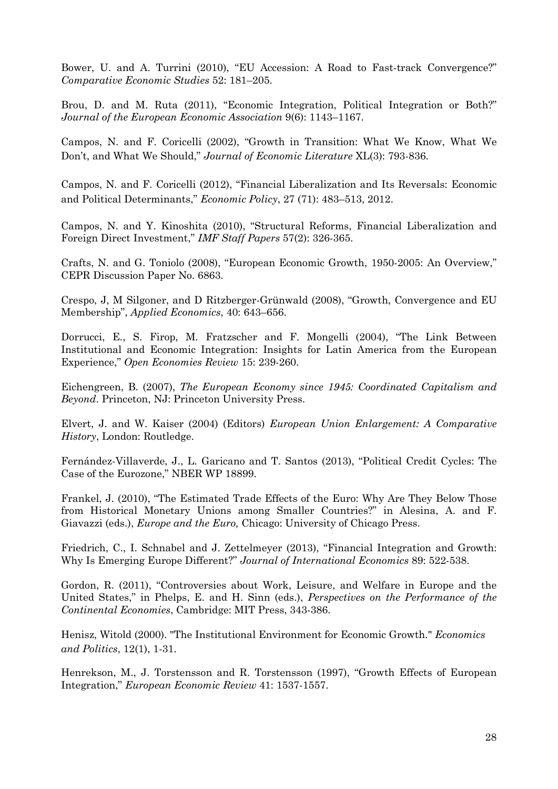Bower, U. and A. Turrini (2010), "EU Accession: A Road to Fast-track Convergence?" *Comparative Economic Studies* 52: 181–205.

Brou, D. and M. Ruta (2011), "Economic Integration, Political Integration or Both?" *Journal of the European Economic Association* 9(6): 1143–1167.

Campos, N. and F. Coricelli (2002), "Growth in Transition: What We Know, What We Don't, and What We Should," *Journal of Economic Literature* XL(3): 793-836.

Campos, N. and F. Coricelli (2012), "Financial Liberalization and Its Reversals: Economic and Political Determinants," *Economic Policy*, 27 (71): 483–513, 2012.

Campos, N. and Y. Kinoshita (2010), "Structural Reforms, Financial Liberalization and Foreign Direct Investment," *IMF Staff Papers* 57(2): 326-365.

Crafts, N. and G. Toniolo (2008), "European Economic Growth, 1950-2005: An Overview," CEPR Discussion Paper No. 6863.

Crespo, J, M Silgoner, and D Ritzberger-Grünwald (2008), "Growth, Convergence and EU Membership", *Applied Economics*, 40: 643–656.

Dorrucci, E., S. Firop, M. Fratzscher and F. Mongelli (2004), "The Link Between Institutional and Economic Integration: Insights for Latin America from the European Experience," *Open Economies Review* 15: 239-260.

Eichengreen, B. (2007), *The European Economy since 1945: Coordinated Capitalism and Beyond*. Princeton, NJ: Princeton University Press.

Elvert, J. and W. Kaiser (2004) (Editors) *European Union Enlargement: A Comparative History*, London: Routledge.

Fernández-Villaverde, J., L. Garicano and T. Santos (2013), "Political Credit Cycles: The Case of the Eurozone," NBER WP 18899.

Frankel, J. (2010), "The Estimated Trade Effects of the Euro: Why Are They Below Those from Historical Monetary Unions among Smaller Countries?" in Alesina, A. and F. Giavazzi (eds.), *Europe and the Euro,* Chicago: University of Chicago Press.

Friedrich, C., I. Schnabel and J. Zettelmeyer (2013), "Financial Integration and Growth: Why Is Emerging Europe Different?" *Journal of International Economics* 89: 522-538.

Gordon, R. (2011), "Controversies about Work, Leisure, and Welfare in Europe and the United States," in Phelps, E. and H. Sinn (eds.), *Perspectives on the Performance of the Continental Economies*, Cambridge: MIT Press, 343-386.

Henisz, Witold (2000). "The Institutional Environment for Economic Growth." *Economics and Politics*, 12(1), 1-31.

Henrekson, M., J. Torstensson and R. Torstensson (1997), "Growth Effects of European Integration," *European Economic Review* 41: 1537-1557.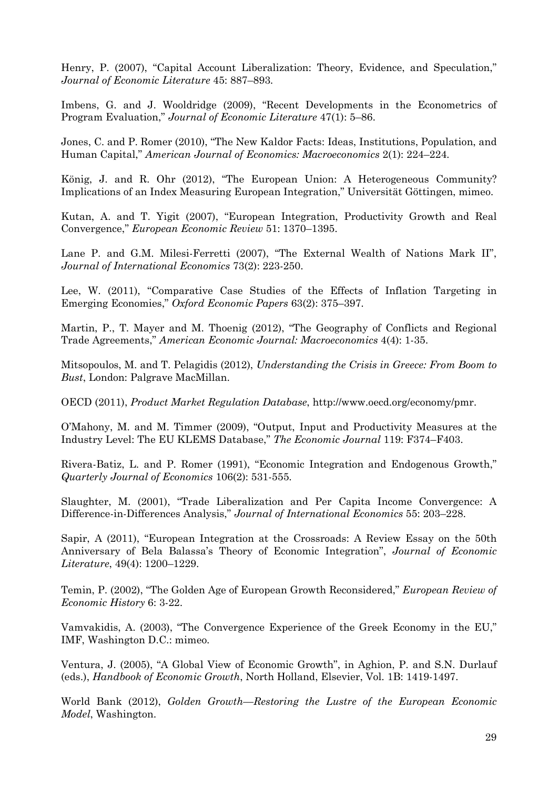Henry, P. (2007), "Capital Account Liberalization: Theory, Evidence, and Speculation," *Journal of Economic Literature* 45: 887–893.

Imbens, G. and J. Wooldridge (2009), "Recent Developments in the Econometrics of Program Evaluation," *Journal of Economic Literature* 47(1): 5–86.

Jones, C. and P. Romer (2010), "The New Kaldor Facts: Ideas, Institutions, Population, and Human Capital," *American Journal of Economics: Macroeconomics* 2(1): 224–224.

König, J. and R. Ohr (2012), "The European Union: A Heterogeneous Community? Implications of an Index Measuring European Integration," Universität Göttingen, mimeo.

Kutan, A. and T. Yigit (2007), "European Integration, Productivity Growth and Real Convergence," *European Economic Review* 51: 1370–1395.

Lane P. and G.M. Milesi-Ferretti (2007), "The External Wealth of Nations Mark II", *Journal of International Economics* 73(2): 223-250.

Lee, W. (2011), "Comparative Case Studies of the Effects of Inflation Targeting in Emerging Economies," *Oxford Economic Papers* 63(2): 375–397.

Martin, P., T. Mayer and M. Thoenig (2012), "The Geography of Conflicts and Regional Trade Agreements," *American Economic Journal: Macroeconomics* 4(4): 1-35.

Mitsopoulos, M. and T. Pelagidis (2012), *Understanding the Crisis in Greece: From Boom to Bust*, London: Palgrave MacMillan.

OECD (2011), *Product Market Regulation Database*, http://www.oecd.org/economy/pmr.

O'Mahony, M. and M. Timmer (2009), "Output, Input and Productivity Measures at the Industry Level: The EU KLEMS Database," *The Economic Journal* 119: F374–F403.

Rivera-Batiz, L. and P. Romer (1991), "Economic Integration and Endogenous Growth," *Quarterly Journal of Economics* 106(2): 531-555.

Slaughter, M. (2001), "Trade Liberalization and Per Capita Income Convergence: A Difference-in-Differences Analysis," *Journal of International Economics* 55: 203–228.

Sapir, A (2011), "European Integration at the Crossroads: A Review Essay on the 50th Anniversary of Bela Balassa's Theory of Economic Integration", *Journal of Economic Literature*, 49(4): 1200–1229.

Temin, P. (2002), "The Golden Age of European Growth Reconsidered," *European Review of Economic History* 6: 3-22.

Vamvakidis, A. (2003), "The Convergence Experience of the Greek Economy in the EU," IMF, Washington D.C.: mimeo.

Ventura, J. (2005), "A Global View of Economic Growth", in Aghion, P. and S.N. Durlauf (eds.), *Handbook of Economic Growth*, North Holland, Elsevier, Vol. 1B: 1419-1497.

World Bank (2012), *Golden Growth—Restoring the Lustre of the European Economic Model*, Washington.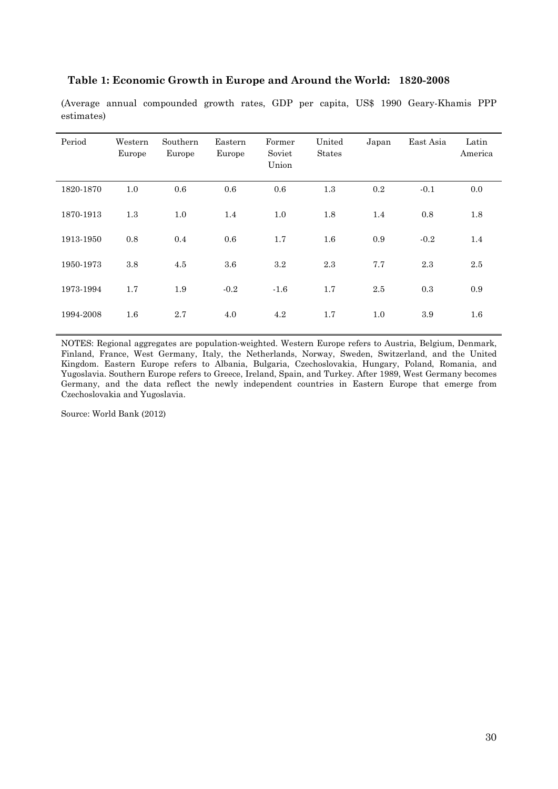|  | Table 1: Economic Growth in Europe and Around the World: 1820-2008 |  |
|--|--------------------------------------------------------------------|--|
|--|--------------------------------------------------------------------|--|

(Average annual compounded growth rates, GDP per capita, US\$ 1990 Geary-Khamis PPP estimates)

| Period    | Western<br>Europe | Southern<br>Europe | Eastern<br>Europe | Former<br>Soviet<br>Union | United<br><b>States</b> | Japan   | East Asia | Latin<br>America |
|-----------|-------------------|--------------------|-------------------|---------------------------|-------------------------|---------|-----------|------------------|
| 1820-1870 | 1.0               | 0.6                | 0.6               | 0.6                       | 1.3                     | $0.2\,$ | $-0.1$    | 0.0              |
| 1870-1913 | 1.3               | 1.0                | 1.4               | 1.0                       | 1.8                     | 1.4     | 0.8       | 1.8              |
| 1913-1950 | 0.8               | 0.4                | 0.6               | 1.7                       | 1.6                     | 0.9     | $-0.2$    | 1.4              |
| 1950-1973 | 3.8               | 4.5                | 3.6               | 3.2                       | 2.3                     | 7.7     | 2.3       | 2.5              |
| 1973-1994 | 1.7               | 1.9                | $-0.2$            | $-1.6$                    | 1.7                     | 2.5     | 0.3       | 0.9              |
| 1994-2008 | $1.6\,$           | 2.7                | 4.0               | 4.2                       | 1.7                     | $1.0\,$ | 3.9       | 1.6              |

NOTES: Regional aggregates are population-weighted. Western Europe refers to Austria, Belgium, Denmark, Finland, France, West Germany, Italy, the Netherlands, Norway, Sweden, Switzerland, and the United Kingdom. Eastern Europe refers to Albania, Bulgaria, Czechoslovakia, Hungary, Poland, Romania, and Yugoslavia. Southern Europe refers to Greece, Ireland, Spain, and Turkey. After 1989, West Germany becomes Germany, and the data reflect the newly independent countries in Eastern Europe that emerge from Czechoslovakia and Yugoslavia.

Source: World Bank (2012)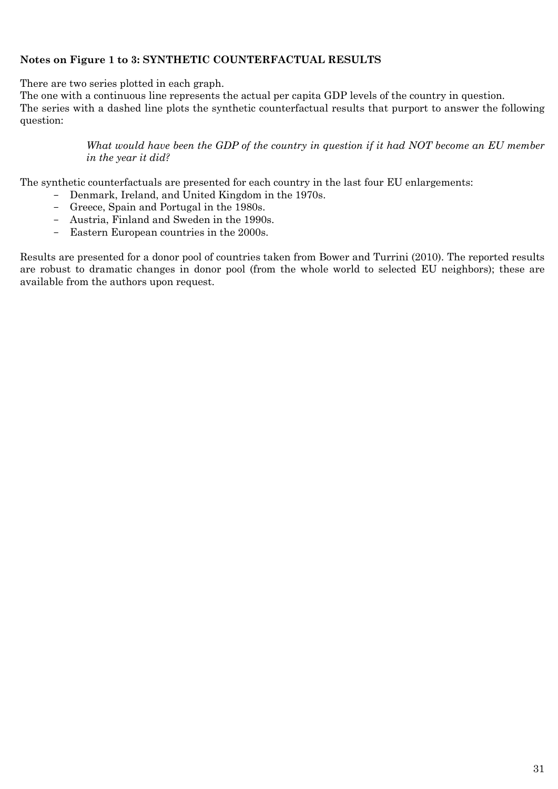### **Notes on Figure 1 to 3: SYNTHETIC COUNTERFACTUAL RESULTS**

There are two series plotted in each graph.

The one with a continuous line represents the actual per capita GDP levels of the country in question. The series with a dashed line plots the synthetic counterfactual results that purport to answer the following question:

> *What would have been the GDP of the country in question if it had NOT become an EU member in the year it did?*

The synthetic counterfactuals are presented for each country in the last four EU enlargements:

- Denmark, Ireland, and United Kingdom in the 1970s.
- Greece, Spain and Portugal in the 1980s.
- Austria, Finland and Sweden in the 1990s.
- Eastern European countries in the 2000s.

Results are presented for a donor pool of countries taken from Bower and Turrini (2010). The reported results are robust to dramatic changes in donor pool (from the whole world to selected EU neighbors); these are available from the authors upon request.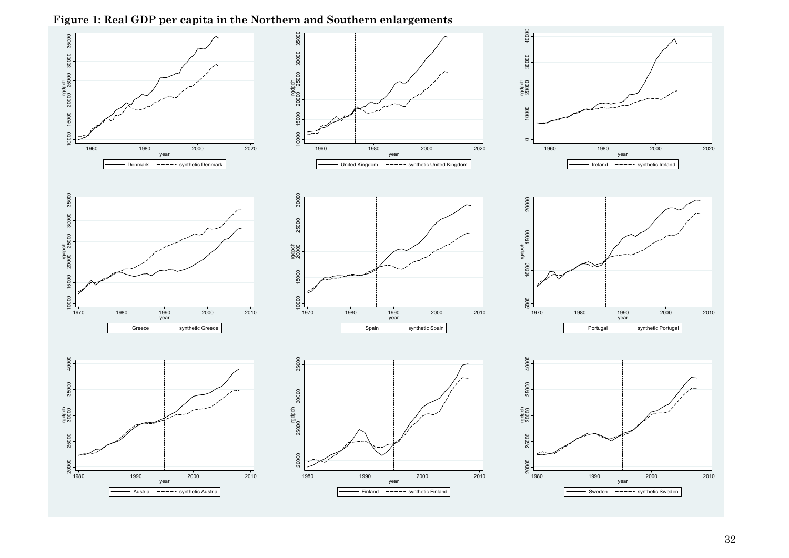**Figure 1: Real GDP per capita in the Northern and Southern enlargements** 

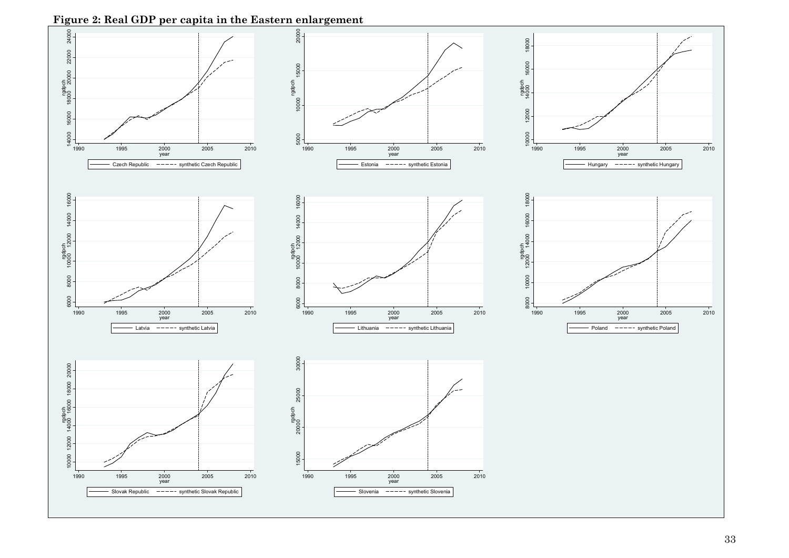**Figure 2: Real GDP per capita in the Eastern enlargement** 

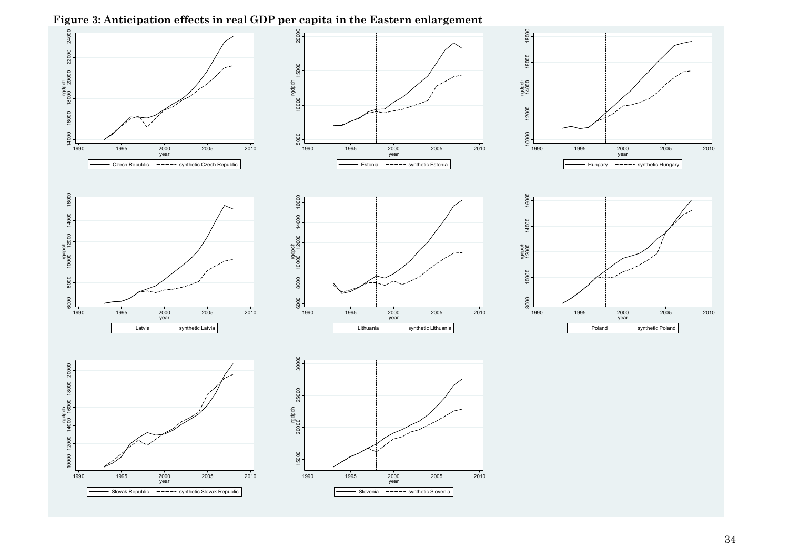

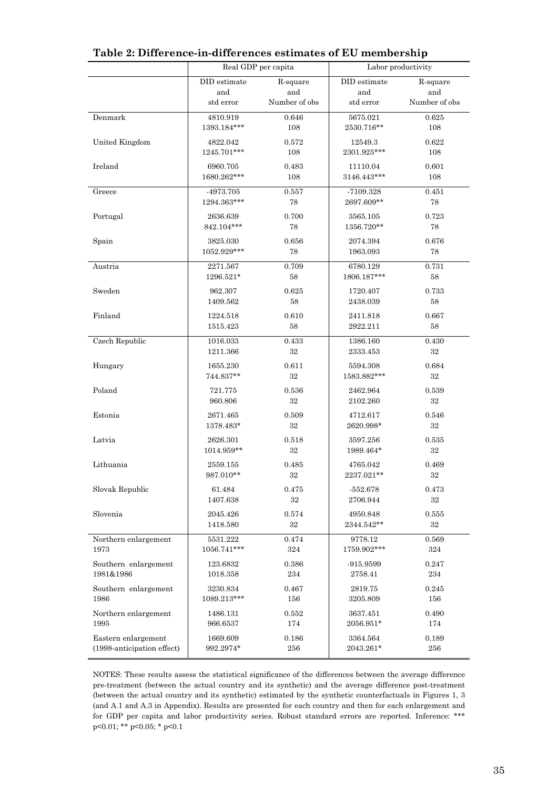|                                   | Real GDP per capita     |                    | Labor productivity     |                 |  |
|-----------------------------------|-------------------------|--------------------|------------------------|-----------------|--|
|                                   | DID estimate            | R-square           | DID estimate           | R-square        |  |
|                                   | and                     | and                | and                    | and             |  |
|                                   | std error               | Number of obs      | std error              | Number of obs   |  |
| Denmark                           | 4810.919                | 0.646              | 5675.021               | 0.625           |  |
|                                   | 1393.184***             | 108                | 2530.716**             | 108             |  |
| United Kingdom                    | 4822.042                | 0.572              | 12549.3                | 0.622           |  |
|                                   | 1245.701***             | 108                | 2301.925***            | 108             |  |
| Ireland                           | 6960.705                | 0.483              | 11110.04               | 0.601           |  |
|                                   | 1680.262***             | 108                | 3146.443***            | 108             |  |
| Greece                            | -4973.705               | 0.557              | -7109.328              | 0.451           |  |
|                                   | 1294.363***             | 78                 | 2697.609**             | 78              |  |
| Portugal                          | 2636.639                | 0.700              | 3565.105               | 0.723           |  |
|                                   | 842.104***              | 78                 | 1356.720**             | 78              |  |
| Spain                             | 3825.030                | 0.656              | 2074.394               | 0.676           |  |
|                                   | 1052.929***             | 78                 | 1963.093               | 78              |  |
| Austria                           | 2271.567                | 0.709              | 6780.129               | 0.731           |  |
|                                   | 1296.521*               | 58                 | 1806.187***            | 58              |  |
| Sweden                            | 962.307                 | 0.625              | 1720.407               | 0.733           |  |
|                                   | 1409.562                | 58                 | 2438.039               | 58              |  |
| Finland                           | 1224.518                | 0.610              | 2411.818               | 0.667           |  |
|                                   | 1515.423                | 58                 | 2922.211               | 58              |  |
| <b>Czech Republic</b>             | 1016.033                | 0.433              | 1386.160               | 0.430           |  |
|                                   | 1211.366                | $32\,$             | 2333.453               | 32              |  |
| Hungary                           | 1655.230                | 0.611              | 5594.308               | 0.684           |  |
|                                   | 744.837**               | 32                 | 1583.882***            | 32              |  |
| Poland                            | 721.775                 | 0.536              | 2462.964               | 0.539           |  |
|                                   | 960.806                 | 32                 | 2102.260               | $32\,$          |  |
| Estonia                           | 2671.465                | 0.509              | 4712.617               | 0.546           |  |
|                                   | 1378.483*               | 32                 | 2620.998*              | 32              |  |
| Latvia                            | 2626.301                | 0.518              | 3597.256               | 0.535           |  |
|                                   | 1014.959**              | 32                 | 1989.464*              | 32              |  |
| Lithuania                         | 2559.155                | 0.485              | 4765.042               | 0.469           |  |
|                                   | 987.010**               | 32                 | 2237.021**             | 32              |  |
| Slovak Republic                   | 61.484                  | 0.475              | $-552.678$             | 0.473           |  |
|                                   | 1407.638                | 32                 | 2706.944               | 32              |  |
| Slovenia                          |                         | 0.574              |                        |                 |  |
|                                   | 2045.426<br>1418.580    | $32\,$             | 4950.848<br>2344.542** | 0.555<br>$32\,$ |  |
|                                   |                         |                    |                        |                 |  |
| Northern enlargement<br>1973      | 5531.222<br>1056.741*** | 0.474<br>324       | 9778.12<br>1759.902*** | 0.569<br>324    |  |
|                                   |                         |                    |                        |                 |  |
| Southern enlargement<br>1981&1986 | 123.6832<br>1018.358    | 0.386<br>$\bf 234$ | $-915.9599$<br>2758.41 | 0.247<br>234    |  |
|                                   |                         |                    |                        |                 |  |
| Southern enlargement<br>1986      | 3230.834<br>1089.213*** | 0.467<br>156       | 2819.75                | 0.245<br>156    |  |
|                                   |                         |                    | 3205.809               |                 |  |
| Northern enlargement              | 1486.131                | 0.552              | 3637.451               | 0.490           |  |
| 1995                              | 966.6537                | 174                | 2056.951*              | 174             |  |
| Eastern enlargement               | 1669.609                | 0.186              | 3364.564               | 0.189           |  |
| (1998-anticipation effect)        | 992.2974*               | 256                | 2043.261*              | 256             |  |

#### **Table 2: Difference-in-differences estimates of EU membership**

NOTES: These results assess the statistical significance of the differences between the average difference pre-treatment (between the actual country and its synthetic) and the average difference post-treatment (between the actual country and its synthetic) estimated by the synthetic counterfactuals in Figures 1, 3 (and A.1 and A.3 in Appendix). Results are presented for each country and then for each enlargement and for GDP per capita and labor productivity series. Robust standard errors are reported. Inference: \*\*\* p<0.01; \*\* p<0.05; \* p<0.1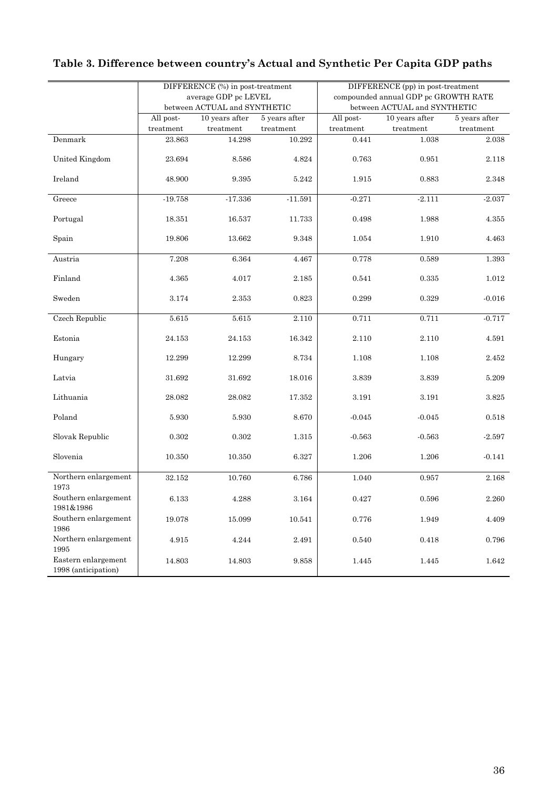|                                            |                                                          |             |           | DIFFERENCE (pp) in post-treatment    |               |             |  |
|--------------------------------------------|----------------------------------------------------------|-------------|-----------|--------------------------------------|---------------|-------------|--|
|                                            | DIFFERENCE (%) in post-treatment<br>average GDP pc LEVEL |             |           | compounded annual GDP pc GROWTH RATE |               |             |  |
|                                            | between ACTUAL and SYNTHETIC                             |             |           | between ACTUAL and SYNTHETIC         |               |             |  |
|                                            | 10 years after<br>All post-<br>5 years after             |             | All post- | $10$ years after                     | 5 years after |             |  |
|                                            | treatment                                                | treatment   | treatment | treatment                            | treatment     | treatment   |  |
| Denmark                                    | 23.863                                                   | 14.298      | 10.292    | 0.441                                | 1.038         | 2.038       |  |
| United Kingdom                             | 23.694                                                   | 8.586       | 4.824     | 0.763                                | 0.951         | 2.118       |  |
| Ireland                                    | 48.900                                                   | 9.395       | 5.242     | 1.915                                | 0.883         | 2.348       |  |
| Greece                                     | $-19.758$                                                | $-17.336$   | $-11.591$ | $-0.271$                             | $-2.111$      | $-2.037$    |  |
| Portugal                                   | 18.351                                                   | 16.537      | 11.733    | 0.498                                | 1.988         | 4.355       |  |
| Spain                                      | 19.806                                                   | 13.662      | 9.348     | 1.054                                | 1.910         | 4.463       |  |
| Austria                                    | 7.208                                                    | $\,6.364\,$ | 4.467     | 0.778                                | 0.589         | 1.393       |  |
| Finland                                    | 4.365                                                    | 4.017       | 2.185     | 0.541                                | 0.335         | $1.012\,$   |  |
| Sweden                                     | 3.174                                                    | 2.353       | 0.823     | 0.299                                | 0.329         | $-0.016$    |  |
| Czech Republic                             | 5.615                                                    | 5.615       | 2.110     | 0.711                                | 0.711         | $-0.717$    |  |
| Estonia                                    | 24.153                                                   | 24.153      | 16.342    | 2.110                                | 2.110         | 4.591       |  |
| Hungary                                    | 12.299                                                   | 12.299      | 8.734     | 1.108                                | 1.108         | 2.452       |  |
| Latvia                                     | 31.692                                                   | 31.692      | 18.016    | $3.839\,$                            | 3.839         | 5.209       |  |
| Lithuania                                  | 28.082                                                   | 28.082      | 17.352    | 3.191                                | 3.191         | 3.825       |  |
| Poland                                     | 5.930                                                    | 5.930       | 8.670     | $-0.045$                             | $-0.045$      | 0.518       |  |
| Slovak Republic                            | 0.302                                                    | 0.302       | 1.315     | $-0.563$                             | $-0.563$      | $-2.597$    |  |
| Slovenia                                   | 10.350                                                   | 10.350      | 6.327     | 1.206                                | 1.206         | $-0.141$    |  |
| Northern enlargement                       | 32.152                                                   | 10.760      | 6.786     | 1.040                                | 0.957         | 2.168       |  |
| 1973<br>Southern enlargement<br>1981&1986  | 6.133                                                    | $4.288\,$   | $\!.164$  | 0.427                                | 0.596         | $2.260\,$   |  |
| Southern enlargement<br>1986               | 19.078                                                   | 15.099      | 10.541    | 0.776                                | 1.949         | $4.409\,$   |  |
| Northern enlargement<br>1995               | 4.915                                                    | 4.244       | $2.491\,$ | 0.540                                | 0.418         | $\,0.796\,$ |  |
| Eastern enlargement<br>1998 (anticipation) | 14.803                                                   | 14.803      | 9.858     | 1.445                                | 1.445         | 1.642       |  |

## **Table 3. Difference between country's Actual and Synthetic Per Capita GDP paths**